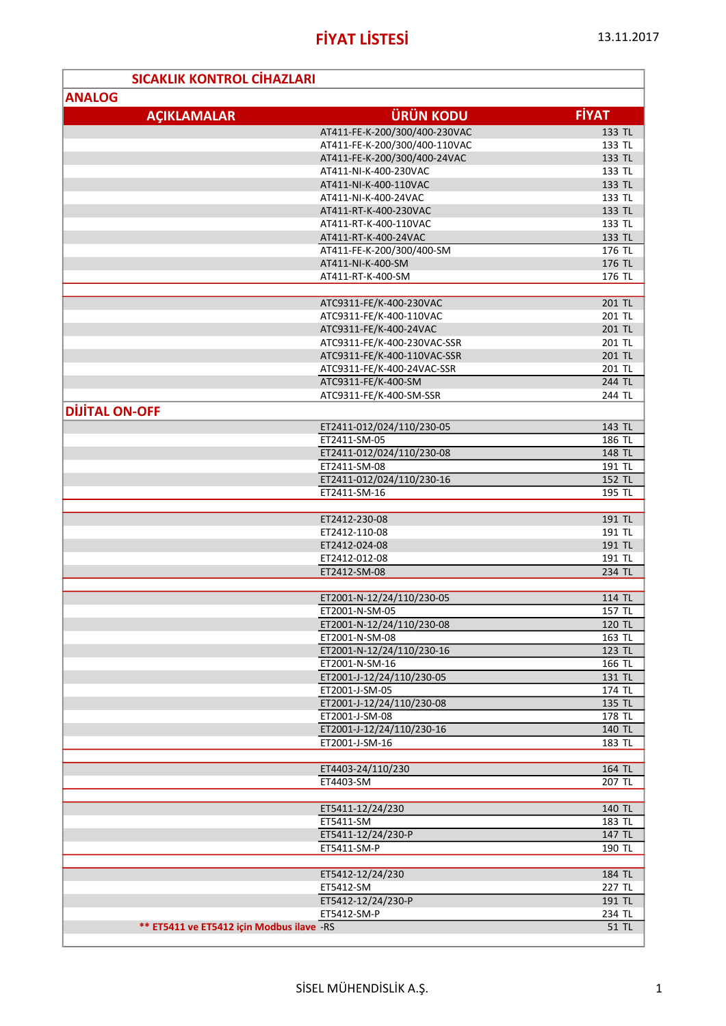| <b>SICAKLIK KONTROL CIHAZLARI</b>          |                                             |                  |
|--------------------------------------------|---------------------------------------------|------------------|
| <b>ANALOG</b>                              |                                             |                  |
| <b>ACIKLAMALAR</b>                         | <b>ÜRÜN KODU</b>                            | <b>FİYAT</b>     |
|                                            | AT411-FE-K-200/300/400-230VAC               |                  |
|                                            | AT411-FE-K-200/300/400-110VAC               | 133 TL<br>133 TL |
|                                            | AT411-FE-K-200/300/400-24VAC                | 133 TL           |
|                                            | AT411-NI-K-400-230VAC                       | 133 TL           |
|                                            | AT411-NI-K-400-110VAC                       | 133 TL           |
|                                            | AT411-NI-K-400-24VAC                        | 133 TL           |
|                                            | AT411-RT-K-400-230VAC                       | 133 TL           |
|                                            | AT411-RT-K-400-110VAC                       | 133 TL           |
|                                            | AT411-RT-K-400-24VAC                        | 133 TL           |
|                                            | AT411-FE-K-200/300/400-SM                   | 176 TL           |
|                                            | AT411-NI-K-400-SM                           | 176 TL           |
|                                            | AT411-RT-K-400-SM                           | 176 TL           |
|                                            |                                             |                  |
|                                            | ATC9311-FE/K-400-230VAC                     | 201 TL           |
|                                            | ATC9311-FE/K-400-110VAC                     | 201 TL           |
|                                            | ATC9311-FE/K-400-24VAC                      | 201 TL           |
|                                            | ATC9311-FE/K-400-230VAC-SSR                 | 201 TL           |
|                                            | ATC9311-FE/K-400-110VAC-SSR                 | 201 TL           |
|                                            | ATC9311-FE/K-400-24VAC-SSR                  | 201 TL           |
|                                            | ATC9311-FE/K-400-SM                         | 244 TL           |
|                                            | ATC9311-FE/K-400-SM-SSR                     | 244 TL           |
| <b>DIJITAL ON-OFF</b>                      |                                             |                  |
|                                            | ET2411-012/024/110/230-05                   | 143 TL           |
|                                            | ET2411-SM-05                                | 186 TL           |
|                                            | ET2411-012/024/110/230-08                   | 148 TL           |
|                                            | ET2411-SM-08                                | 191 TL           |
|                                            | ET2411-012/024/110/230-16                   | 152 TL           |
|                                            | ET2411-SM-16                                | 195 TL           |
|                                            |                                             |                  |
|                                            | ET2412-230-08                               | 191 TL           |
|                                            | ET2412-110-08                               | 191 TL           |
|                                            | ET2412-024-08                               | 191 TL           |
|                                            | ET2412-012-08                               | 191 TL           |
|                                            | ET2412-SM-08                                | 234 TL           |
|                                            |                                             |                  |
|                                            | ET2001-N-12/24/110/230-05                   | 114 TL           |
|                                            | ET2001-N-SM-05                              | 157 TL           |
|                                            | ET2001-N-12/24/110/230-08                   | 120 TL           |
|                                            | ET2001-N-SM-08                              | 163 TL           |
|                                            | ET2001-N-12/24/110/230-16                   | 123 TL           |
|                                            | ET2001-N-SM-16                              | 166 TL           |
|                                            | ET2001-J-12/24/110/230-05<br>ET2001-J-SM-05 | 131 TL           |
|                                            | ET2001-J-12/24/110/230-08                   | 174 TL<br>135 TL |
|                                            | ET2001-J-SM-08                              | 178 TL           |
|                                            | ET2001-J-12/24/110/230-16                   | 140 TL           |
|                                            | ET2001-J-SM-16                              | 183 TL           |
|                                            |                                             |                  |
|                                            | ET4403-24/110/230                           | 164 TL           |
|                                            | ET4403-SM                                   | 207 TL           |
|                                            |                                             |                  |
|                                            | ET5411-12/24/230                            | 140 TL           |
|                                            | ET5411-SM                                   | 183 TL           |
|                                            | ET5411-12/24/230-P                          | 147 TL           |
|                                            | ET5411-SM-P                                 | 190 TL           |
|                                            |                                             |                  |
|                                            | ET5412-12/24/230                            | 184 TL           |
|                                            | ET5412-SM                                   | 227 TL           |
|                                            | ET5412-12/24/230-P                          | 191 TL           |
|                                            | ET5412-SM-P                                 | 234 TL           |
| ** ET5411 ve ET5412 için Modbus ilave - RS |                                             | 51 TL            |
|                                            |                                             |                  |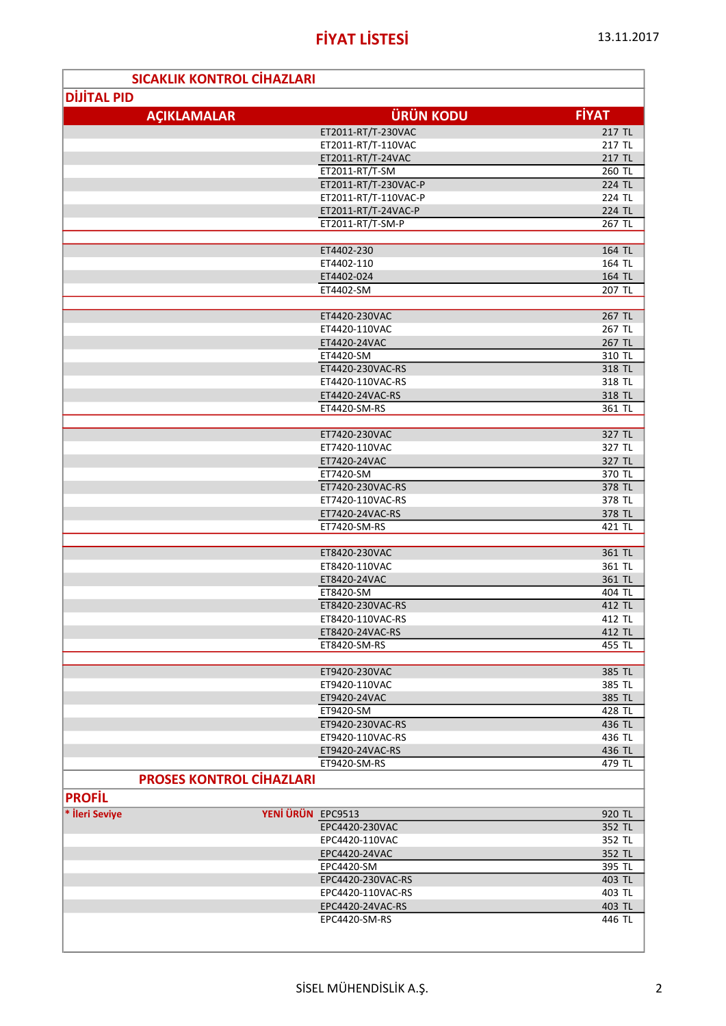|                    | <b>SICAKLIK KONTROL CİHAZLARI</b>       |                  |
|--------------------|-----------------------------------------|------------------|
| <b>DIJITAL PID</b> |                                         |                  |
| <b>AÇIKLAMALAR</b> | <b>ÜRÜN KODU</b>                        | <b>FİYAT</b>     |
|                    |                                         |                  |
|                    | ET2011-RT/T-230VAC                      | 217 TL<br>217 TL |
|                    | ET2011-RT/T-110VAC<br>ET2011-RT/T-24VAC | 217 TL           |
|                    | ET2011-RT/T-SM                          | 260 TL           |
|                    | ET2011-RT/T-230VAC-P                    | 224 TL           |
|                    | ET2011-RT/T-110VAC-P                    | 224 TL           |
|                    | ET2011-RT/T-24VAC-P                     | 224 TL           |
|                    | ET2011-RT/T-SM-P                        | 267 TL           |
|                    |                                         |                  |
|                    | ET4402-230                              | 164 TL           |
|                    | ET4402-110                              | 164 TL           |
|                    | ET4402-024                              | 164 TL           |
|                    | ET4402-SM                               | 207 TL           |
|                    |                                         |                  |
|                    | ET4420-230VAC                           | 267 TL           |
|                    | ET4420-110VAC                           | 267 TL           |
|                    | ET4420-24VAC                            | 267 TL           |
|                    | ET4420-SM                               | 310 TL           |
|                    | ET4420-230VAC-RS                        | 318 TL           |
|                    | ET4420-110VAC-RS                        | 318 TL           |
|                    | ET4420-24VAC-RS                         | 318 TL           |
|                    | ET4420-SM-RS                            | 361 TL           |
|                    |                                         |                  |
|                    | ET7420-230VAC                           | 327 TL           |
|                    | ET7420-110VAC                           | 327 TL           |
|                    | ET7420-24VAC                            | 327 TL           |
|                    | ET7420-SM                               | 370 TL           |
|                    | ET7420-230VAC-RS                        | 378 TL           |
|                    | ET7420-110VAC-RS                        | 378 TL           |
|                    | ET7420-24VAC-RS                         | 378 TL           |
|                    | ET7420-SM-RS                            | 421 TL           |
|                    |                                         |                  |
|                    | ET8420-230VAC                           | 361 TL           |
|                    | ET8420-110VAC<br>ET8420-24VAC           | 361 TL<br>361 TL |
|                    | ET8420-SM                               | 404 TL           |
|                    | ET8420-230VAC-RS                        | 412 TL           |
|                    | ET8420-110VAC-RS                        | 412 TL           |
|                    | ET8420-24VAC-RS                         | 412 TL           |
|                    | ET8420-SM-RS                            | 455 TL           |
|                    |                                         |                  |
|                    | ET9420-230VAC                           | 385 TL           |
|                    | ET9420-110VAC                           | 385 TL           |
|                    | ET9420-24VAC                            | 385 TL           |
|                    | ET9420-SM                               | 428 TL           |
|                    | ET9420-230VAC-RS                        | 436 TL           |
|                    | ET9420-110VAC-RS                        | 436 TL           |
|                    | ET9420-24VAC-RS                         | 436 TL           |
|                    | ET9420-SM-RS                            | 479 TL           |
|                    | <b>PROSES KONTROL CİHAZLARI</b>         |                  |
|                    |                                         |                  |
| <b>PROFIL</b>      |                                         |                  |
| * İleri Seviye     | YENİ ÜRÜN EPC9513                       | 920 TL           |
|                    | EPC4420-230VAC                          | 352 TL           |
|                    | EPC4420-110VAC                          | 352 TL           |
|                    | EPC4420-24VAC                           | 352 TL           |
|                    | EPC4420-SM                              | 395 TL           |
|                    | EPC4420-230VAC-RS                       | 403 TL           |
|                    | EPC4420-110VAC-RS                       | 403 TL           |
|                    | EPC4420-24VAC-RS<br>EPC4420-SM-RS       | 403 TL           |
|                    |                                         | 446 TL           |
|                    |                                         |                  |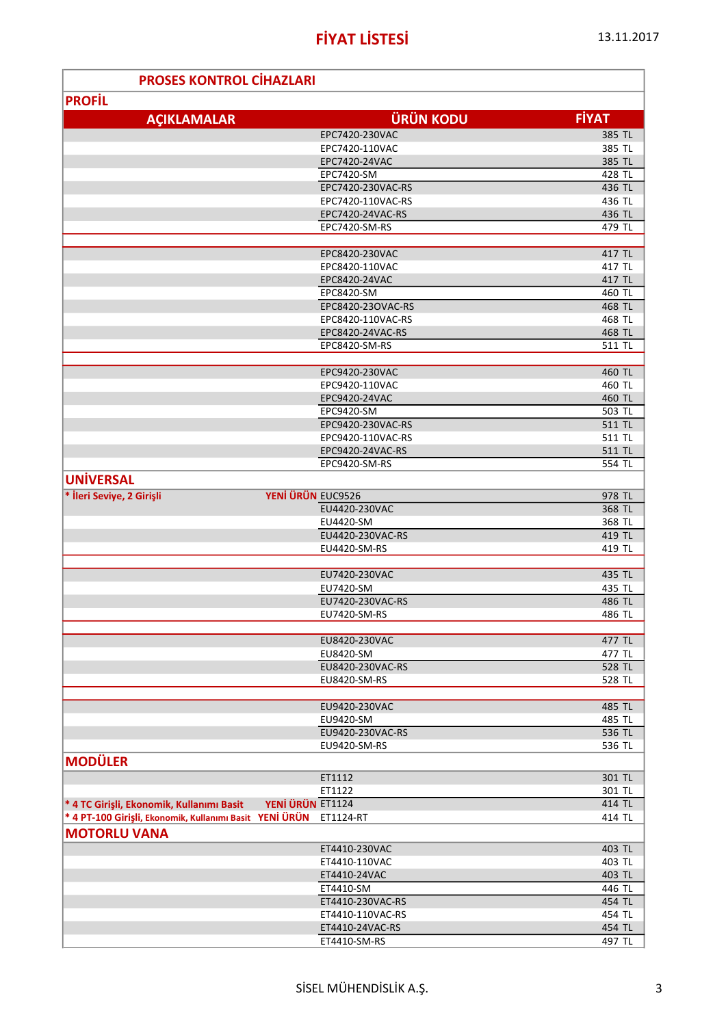ľ

Ė

| <b>PROSES KONTROL CIHAZLARI</b>                         |                                 |                  |  |  |
|---------------------------------------------------------|---------------------------------|------------------|--|--|
| <b>PROFIL</b>                                           |                                 |                  |  |  |
|                                                         |                                 |                  |  |  |
| <b>AÇIKLAMALAR</b>                                      | <b>ÜRÜN KODU</b>                | <b>FİYAT</b>     |  |  |
|                                                         | EPC7420-230VAC                  | 385 TL           |  |  |
|                                                         | EPC7420-110VAC                  | 385 TL           |  |  |
|                                                         | EPC7420-24VAC                   | 385 TL           |  |  |
|                                                         | EPC7420-SM<br>EPC7420-230VAC-RS | 428 TL<br>436 TL |  |  |
|                                                         | EPC7420-110VAC-RS               | 436 TL           |  |  |
|                                                         | EPC7420-24VAC-RS                | 436 TL           |  |  |
|                                                         | EPC7420-SM-RS                   | 479 TL           |  |  |
|                                                         |                                 |                  |  |  |
|                                                         | EPC8420-230VAC                  | 417 TL           |  |  |
|                                                         | EPC8420-110VAC                  | 417 TL           |  |  |
|                                                         | EPC8420-24VAC                   | 417 TL           |  |  |
|                                                         | EPC8420-SM                      | 460 TL           |  |  |
|                                                         | EPC8420-23OVAC-RS               | 468 TL           |  |  |
|                                                         | EPC8420-110VAC-RS               | 468 TL           |  |  |
|                                                         | EPC8420-24VAC-RS                | 468 TL           |  |  |
|                                                         | EPC8420-SM-RS                   | 511 TL           |  |  |
|                                                         |                                 |                  |  |  |
|                                                         | EPC9420-230VAC                  | 460 TL           |  |  |
|                                                         | EPC9420-110VAC                  | 460 TL           |  |  |
|                                                         | EPC9420-24VAC                   | 460 TL           |  |  |
|                                                         | EPC9420-SM                      | 503 TL           |  |  |
|                                                         | EPC9420-230VAC-RS               | 511 TL           |  |  |
|                                                         | EPC9420-110VAC-RS               | 511 TL           |  |  |
|                                                         | EPC9420-24VAC-RS                | 511 TL           |  |  |
|                                                         | EPC9420-SM-RS                   | 554 TL           |  |  |
| <b>UNIVERSAL</b>                                        |                                 |                  |  |  |
| * İleri Seviye, 2 Girişli                               | YENİ ÜRÜN EUC9526               | 978 TL           |  |  |
|                                                         | EU4420-230VAC                   | 368 TL           |  |  |
|                                                         | EU4420-SM                       | 368 TL           |  |  |
|                                                         | EU4420-230VAC-RS                | 419 TL           |  |  |
|                                                         | EU4420-SM-RS                    | 419 TL           |  |  |
|                                                         |                                 |                  |  |  |
|                                                         | EU7420-230VAC                   | 435 TL           |  |  |
|                                                         | EU7420-SM                       | 435 TL           |  |  |
|                                                         | EU7420-230VAC-RS                | 486 TL           |  |  |
|                                                         | EU7420-SM-RS                    | 486 TL           |  |  |
|                                                         | EU8420-230VAC                   | 477 TL           |  |  |
|                                                         | EU8420-SM                       | 477 TL           |  |  |
|                                                         | EU8420-230VAC-RS                | 528 TL           |  |  |
|                                                         | EU8420-SM-RS                    | 528 TL           |  |  |
|                                                         |                                 |                  |  |  |
|                                                         | EU9420-230VAC                   | 485 TL           |  |  |
|                                                         | EU9420-SM                       | 485 TL           |  |  |
|                                                         | EU9420-230VAC-RS                | 536 TL           |  |  |
|                                                         | EU9420-SM-RS                    | 536 TL           |  |  |
| <b>MODÜLER</b>                                          |                                 |                  |  |  |
|                                                         | ET1112                          | 301 TL           |  |  |
|                                                         | ET1122                          | 301 TL           |  |  |
| * 4 TC Girişli, Ekonomik, Kullanımı Basit               | YENİ ÜRÜN ET1124                | 414 TL           |  |  |
| * 4 PT-100 Girişli, Ekonomik, Kullanımı Basit YENİ ÜRÜN | ET1124-RT                       | 414 TL           |  |  |
|                                                         |                                 |                  |  |  |
| <b>MOTORLU VANA</b>                                     |                                 |                  |  |  |
|                                                         | ET4410-230VAC                   | 403 TL           |  |  |
|                                                         | ET4410-110VAC                   | 403 TL           |  |  |
|                                                         | ET4410-24VAC                    | 403 TL           |  |  |
|                                                         | ET4410-SM                       | 446 TL           |  |  |
|                                                         | ET4410-230VAC-RS                | 454 TL           |  |  |
|                                                         | ET4410-110VAC-RS                | 454 TL           |  |  |
|                                                         | ET4410-24VAC-RS                 | 454 TL           |  |  |
|                                                         | ET4410-SM-RS                    | 497 TL           |  |  |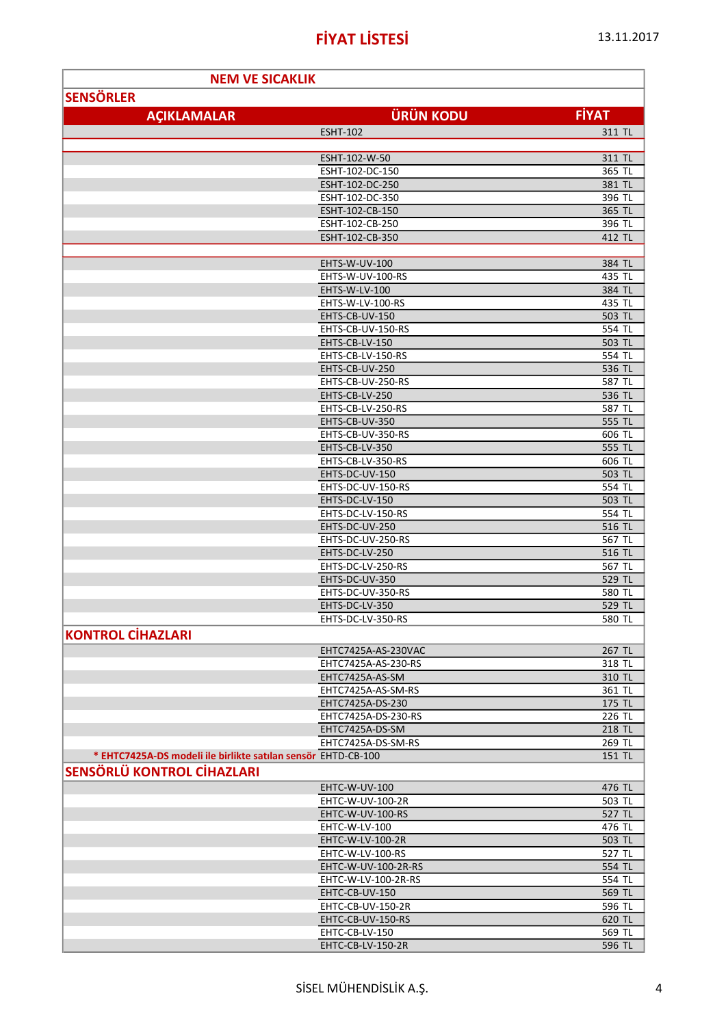| 13.11.2017 |
|------------|
|------------|

| <b>NEM VE SICAKLIK</b>                                        |                                        |                  |
|---------------------------------------------------------------|----------------------------------------|------------------|
| <b>SENSÖRLER</b>                                              |                                        |                  |
|                                                               |                                        |                  |
| <b>AÇIKLAMALAR</b>                                            | <b>ÜRÜN KODU</b>                       | <b>FİYAT</b>     |
|                                                               | <b>ESHT-102</b>                        | 311 TL           |
|                                                               |                                        |                  |
|                                                               | ESHT-102-W-50                          | 311 TL           |
|                                                               | ESHT-102-DC-150                        | 365 TL           |
|                                                               | ESHT-102-DC-250                        | 381 TL           |
|                                                               | ESHT-102-DC-350                        | 396 TL           |
|                                                               | ESHT-102-CB-150                        | 365 TL           |
|                                                               | ESHT-102-CB-250<br>ESHT-102-CB-350     | 396 TL           |
|                                                               |                                        | 412 TL           |
|                                                               | EHTS-W-UV-100                          | 384 TL           |
|                                                               | EHTS-W-UV-100-RS                       | 435 TL           |
|                                                               | EHTS-W-LV-100                          | 384 TL           |
|                                                               | EHTS-W-LV-100-RS                       | 435 TL           |
|                                                               | EHTS-CB-UV-150                         | 503 TL           |
|                                                               | EHTS-CB-UV-150-RS                      | 554 TL           |
|                                                               | EHTS-CB-LV-150                         | 503 TL           |
|                                                               | EHTS-CB-LV-150-RS                      | 554 TL           |
|                                                               | EHTS-CB-UV-250                         | 536 TL           |
|                                                               | EHTS-CB-UV-250-RS                      | 587 TL           |
|                                                               | EHTS-CB-LV-250                         | 536 TL           |
|                                                               | EHTS-CB-LV-250-RS                      | 587 TL           |
|                                                               | EHTS-CB-UV-350                         | 555 TL           |
|                                                               | EHTS-CB-UV-350-RS                      | 606 TL           |
|                                                               | EHTS-CB-LV-350                         | 555 TL           |
|                                                               | EHTS-CB-LV-350-RS                      | 606 TL           |
|                                                               | EHTS-DC-UV-150                         | 503 TL           |
|                                                               | EHTS-DC-UV-150-RS                      | 554 TL           |
|                                                               | EHTS-DC-LV-150                         | 503 TL           |
|                                                               | EHTS-DC-LV-150-RS                      | 554 TL           |
|                                                               | EHTS-DC-UV-250                         | 516 TL           |
|                                                               | EHTS-DC-UV-250-RS                      | 567 TL           |
|                                                               | EHTS-DC-LV-250<br>EHTS-DC-LV-250-RS    | 516 TL<br>567 TL |
|                                                               | EHTS-DC-UV-350                         | 529 TL           |
|                                                               | EHTS-DC-UV-350-RS                      | 580 TL           |
|                                                               | EHTS-DC-LV-350                         | 529 TL           |
|                                                               | EHTS-DC-LV-350-RS                      | 580 TL           |
| <b>KONTROL CİHAZLARI</b>                                      |                                        |                  |
|                                                               |                                        |                  |
|                                                               | EHTC7425A-AS-230VAC                    | 267 TL           |
|                                                               | EHTC7425A-AS-230-RS<br>EHTC7425A-AS-SM | 318 TL<br>310 TL |
|                                                               | EHTC7425A-AS-SM-RS                     | 361 TL           |
|                                                               | EHTC7425A-DS-230                       | 175 TL           |
|                                                               | EHTC7425A-DS-230-RS                    | 226 TL           |
|                                                               | EHTC7425A-DS-SM                        | 218 TL           |
|                                                               | EHTC7425A-DS-SM-RS                     | 269 TL           |
| * EHTC7425A-DS modeli ile birlikte satılan sensör EHTD-CB-100 |                                        | 151 TL           |
| <b>SENSÖRLÜ KONTROL CİHAZLARI</b>                             |                                        |                  |
|                                                               |                                        |                  |
|                                                               | EHTC-W-UV-100<br>EHTC-W-UV-100-2R      | 476 TL<br>503 TL |
|                                                               | EHTC-W-UV-100-RS                       | 527 TL           |
|                                                               | EHTC-W-LV-100                          | 476 TL           |
|                                                               | EHTC-W-LV-100-2R                       | 503 TL           |
|                                                               | EHTC-W-LV-100-RS                       | 527 TL           |
|                                                               | EHTC-W-UV-100-2R-RS                    | 554 TL           |
|                                                               | EHTC-W-LV-100-2R-RS                    | 554 TL           |
|                                                               | EHTC-CB-UV-150                         | 569 TL           |
|                                                               | EHTC-CB-UV-150-2R                      | 596 TL           |
|                                                               | EHTC-CB-UV-150-RS                      | 620 TL           |
|                                                               | EHTC-CB-LV-150                         | 569 TL           |
|                                                               | EHTC-CB-LV-150-2R                      | 596 TL           |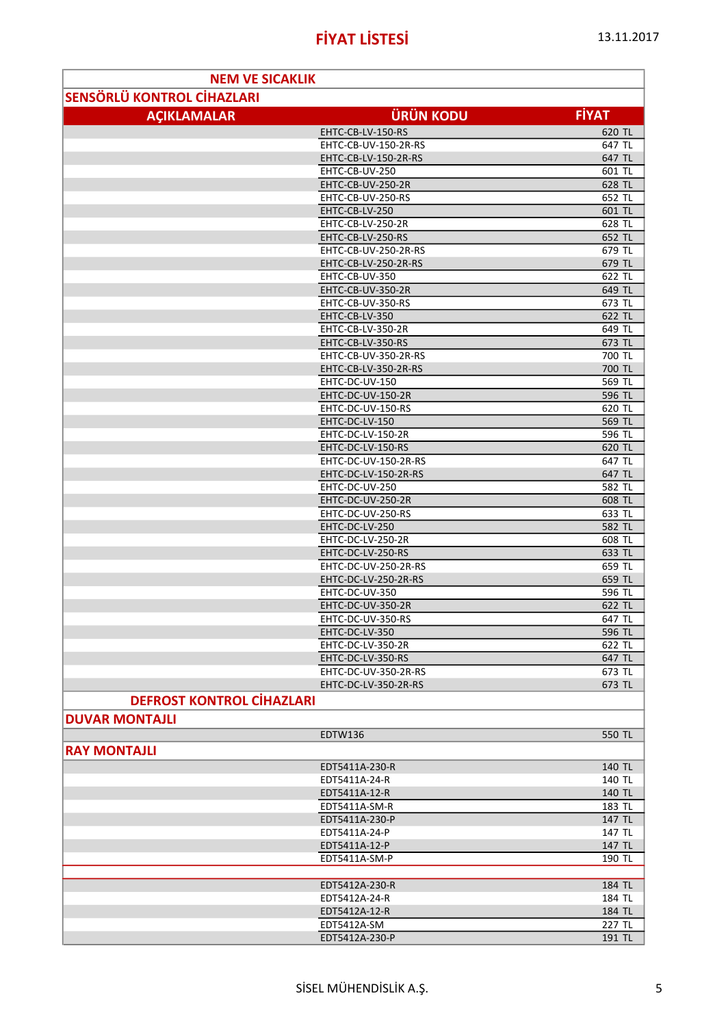| <b>SENSÖRLÜ KONTROL CİHAZLARI</b><br><b>FİYAT</b><br><b>ÜRÜN KODU</b><br><b>ACIKLAMALAR</b><br>EHTC-CB-LV-150-RS<br>620 TL<br>EHTC-CB-UV-150-2R-RS<br>647 TL<br>EHTC-CB-LV-150-2R-RS<br>647 TL<br>EHTC-CB-UV-250<br>601 TL<br>EHTC-CB-UV-250-2R<br>628 TL<br>EHTC-CB-UV-250-RS<br>652 TL<br>EHTC-CB-LV-250<br>601 TL<br>EHTC-CB-LV-250-2R<br>628 TL<br>EHTC-CB-LV-250-RS<br>652 TL<br>EHTC-CB-UV-250-2R-RS<br>679 TL<br>EHTC-CB-LV-250-2R-RS<br>679 TL<br>EHTC-CB-UV-350<br>622 TL<br>EHTC-CB-UV-350-2R<br>649 TL<br>EHTC-CB-UV-350-RS<br>673 TL<br>EHTC-CB-LV-350<br>622 TL<br>649 TL<br>EHTC-CB-LV-350-2R<br>673 TL<br>EHTC-CB-LV-350-RS<br>EHTC-CB-UV-350-2R-RS<br>700 TL<br>700 TL<br>EHTC-CB-LV-350-2R-RS<br>EHTC-DC-UV-150<br>569 TL<br>596 TL<br>EHTC-DC-UV-150-2R<br>EHTC-DC-UV-150-RS<br>620 TL<br>EHTC-DC-LV-150<br>569 TL<br>EHTC-DC-LV-150-2R<br>596 TL<br>EHTC-DC-LV-150-RS<br>620 TL<br>EHTC-DC-UV-150-2R-RS<br>647 TL<br>EHTC-DC-LV-150-2R-RS<br>647 TL<br>EHTC-DC-UV-250<br>582 TL<br>EHTC-DC-UV-250-2R<br>608 TL<br>EHTC-DC-UV-250-RS<br>633 TL<br>582 TL<br>EHTC-DC-LV-250<br>608 TL<br>EHTC-DC-LV-250-2R<br>EHTC-DC-LV-250-RS<br>633 TL<br>EHTC-DC-UV-250-2R-RS<br>659 TL<br>659 TL<br>EHTC-DC-LV-250-2R-RS<br>EHTC-DC-UV-350<br>596 TL<br>EHTC-DC-UV-350-2R<br>622 TL<br>EHTC-DC-UV-350-RS<br>647 TL<br>EHTC-DC-LV-350<br>596 TL<br>EHTC-DC-LV-350-2R<br>622 TL<br>EHTC-DC-LV-350-RS<br>647 TL<br>EHTC-DC-UV-350-2R-RS<br>673 TL<br>EHTC-DC-LV-350-2R-RS<br>673 TL<br><b>DEFROST KONTROL CİHAZLARI</b><br><b>DUVAR MONTAJLI</b><br><b>EDTW136</b><br>550 TL<br><b>RAY MONTAJLI</b><br>140 TL<br>EDT5411A-230-R<br>EDT5411A-24-R<br>140 TL<br>140 TL<br>EDT5411A-12-R<br>EDT5411A-SM-R<br>183 TL<br>EDT5411A-230-P<br>147 TL<br>EDT5411A-24-P<br>147 TL<br>147 TL<br>EDT5411A-12-P<br>EDT5411A-SM-P<br>190 TL<br>EDT5412A-230-R<br>184 TL<br>184 TL<br>EDT5412A-24-R<br>184 TL<br>EDT5412A-12-R<br>EDT5412A-SM<br>227 TL<br>EDT5412A-230-P<br>191 TL | <b>NEM VE SICAKLIK</b> |  |  |
|-------------------------------------------------------------------------------------------------------------------------------------------------------------------------------------------------------------------------------------------------------------------------------------------------------------------------------------------------------------------------------------------------------------------------------------------------------------------------------------------------------------------------------------------------------------------------------------------------------------------------------------------------------------------------------------------------------------------------------------------------------------------------------------------------------------------------------------------------------------------------------------------------------------------------------------------------------------------------------------------------------------------------------------------------------------------------------------------------------------------------------------------------------------------------------------------------------------------------------------------------------------------------------------------------------------------------------------------------------------------------------------------------------------------------------------------------------------------------------------------------------------------------------------------------------------------------------------------------------------------------------------------------------------------------------------------------------------------------------------------------------------------------------------------------------------------------------------------------------------------------------------------------------------------------------------------------------------------------|------------------------|--|--|
|                                                                                                                                                                                                                                                                                                                                                                                                                                                                                                                                                                                                                                                                                                                                                                                                                                                                                                                                                                                                                                                                                                                                                                                                                                                                                                                                                                                                                                                                                                                                                                                                                                                                                                                                                                                                                                                                                                                                                                         |                        |  |  |
|                                                                                                                                                                                                                                                                                                                                                                                                                                                                                                                                                                                                                                                                                                                                                                                                                                                                                                                                                                                                                                                                                                                                                                                                                                                                                                                                                                                                                                                                                                                                                                                                                                                                                                                                                                                                                                                                                                                                                                         |                        |  |  |
|                                                                                                                                                                                                                                                                                                                                                                                                                                                                                                                                                                                                                                                                                                                                                                                                                                                                                                                                                                                                                                                                                                                                                                                                                                                                                                                                                                                                                                                                                                                                                                                                                                                                                                                                                                                                                                                                                                                                                                         |                        |  |  |
|                                                                                                                                                                                                                                                                                                                                                                                                                                                                                                                                                                                                                                                                                                                                                                                                                                                                                                                                                                                                                                                                                                                                                                                                                                                                                                                                                                                                                                                                                                                                                                                                                                                                                                                                                                                                                                                                                                                                                                         |                        |  |  |
|                                                                                                                                                                                                                                                                                                                                                                                                                                                                                                                                                                                                                                                                                                                                                                                                                                                                                                                                                                                                                                                                                                                                                                                                                                                                                                                                                                                                                                                                                                                                                                                                                                                                                                                                                                                                                                                                                                                                                                         |                        |  |  |
|                                                                                                                                                                                                                                                                                                                                                                                                                                                                                                                                                                                                                                                                                                                                                                                                                                                                                                                                                                                                                                                                                                                                                                                                                                                                                                                                                                                                                                                                                                                                                                                                                                                                                                                                                                                                                                                                                                                                                                         |                        |  |  |
|                                                                                                                                                                                                                                                                                                                                                                                                                                                                                                                                                                                                                                                                                                                                                                                                                                                                                                                                                                                                                                                                                                                                                                                                                                                                                                                                                                                                                                                                                                                                                                                                                                                                                                                                                                                                                                                                                                                                                                         |                        |  |  |
|                                                                                                                                                                                                                                                                                                                                                                                                                                                                                                                                                                                                                                                                                                                                                                                                                                                                                                                                                                                                                                                                                                                                                                                                                                                                                                                                                                                                                                                                                                                                                                                                                                                                                                                                                                                                                                                                                                                                                                         |                        |  |  |
|                                                                                                                                                                                                                                                                                                                                                                                                                                                                                                                                                                                                                                                                                                                                                                                                                                                                                                                                                                                                                                                                                                                                                                                                                                                                                                                                                                                                                                                                                                                                                                                                                                                                                                                                                                                                                                                                                                                                                                         |                        |  |  |
|                                                                                                                                                                                                                                                                                                                                                                                                                                                                                                                                                                                                                                                                                                                                                                                                                                                                                                                                                                                                                                                                                                                                                                                                                                                                                                                                                                                                                                                                                                                                                                                                                                                                                                                                                                                                                                                                                                                                                                         |                        |  |  |
|                                                                                                                                                                                                                                                                                                                                                                                                                                                                                                                                                                                                                                                                                                                                                                                                                                                                                                                                                                                                                                                                                                                                                                                                                                                                                                                                                                                                                                                                                                                                                                                                                                                                                                                                                                                                                                                                                                                                                                         |                        |  |  |
|                                                                                                                                                                                                                                                                                                                                                                                                                                                                                                                                                                                                                                                                                                                                                                                                                                                                                                                                                                                                                                                                                                                                                                                                                                                                                                                                                                                                                                                                                                                                                                                                                                                                                                                                                                                                                                                                                                                                                                         |                        |  |  |
|                                                                                                                                                                                                                                                                                                                                                                                                                                                                                                                                                                                                                                                                                                                                                                                                                                                                                                                                                                                                                                                                                                                                                                                                                                                                                                                                                                                                                                                                                                                                                                                                                                                                                                                                                                                                                                                                                                                                                                         |                        |  |  |
|                                                                                                                                                                                                                                                                                                                                                                                                                                                                                                                                                                                                                                                                                                                                                                                                                                                                                                                                                                                                                                                                                                                                                                                                                                                                                                                                                                                                                                                                                                                                                                                                                                                                                                                                                                                                                                                                                                                                                                         |                        |  |  |
|                                                                                                                                                                                                                                                                                                                                                                                                                                                                                                                                                                                                                                                                                                                                                                                                                                                                                                                                                                                                                                                                                                                                                                                                                                                                                                                                                                                                                                                                                                                                                                                                                                                                                                                                                                                                                                                                                                                                                                         |                        |  |  |
|                                                                                                                                                                                                                                                                                                                                                                                                                                                                                                                                                                                                                                                                                                                                                                                                                                                                                                                                                                                                                                                                                                                                                                                                                                                                                                                                                                                                                                                                                                                                                                                                                                                                                                                                                                                                                                                                                                                                                                         |                        |  |  |
|                                                                                                                                                                                                                                                                                                                                                                                                                                                                                                                                                                                                                                                                                                                                                                                                                                                                                                                                                                                                                                                                                                                                                                                                                                                                                                                                                                                                                                                                                                                                                                                                                                                                                                                                                                                                                                                                                                                                                                         |                        |  |  |
|                                                                                                                                                                                                                                                                                                                                                                                                                                                                                                                                                                                                                                                                                                                                                                                                                                                                                                                                                                                                                                                                                                                                                                                                                                                                                                                                                                                                                                                                                                                                                                                                                                                                                                                                                                                                                                                                                                                                                                         |                        |  |  |
|                                                                                                                                                                                                                                                                                                                                                                                                                                                                                                                                                                                                                                                                                                                                                                                                                                                                                                                                                                                                                                                                                                                                                                                                                                                                                                                                                                                                                                                                                                                                                                                                                                                                                                                                                                                                                                                                                                                                                                         |                        |  |  |
|                                                                                                                                                                                                                                                                                                                                                                                                                                                                                                                                                                                                                                                                                                                                                                                                                                                                                                                                                                                                                                                                                                                                                                                                                                                                                                                                                                                                                                                                                                                                                                                                                                                                                                                                                                                                                                                                                                                                                                         |                        |  |  |
|                                                                                                                                                                                                                                                                                                                                                                                                                                                                                                                                                                                                                                                                                                                                                                                                                                                                                                                                                                                                                                                                                                                                                                                                                                                                                                                                                                                                                                                                                                                                                                                                                                                                                                                                                                                                                                                                                                                                                                         |                        |  |  |
|                                                                                                                                                                                                                                                                                                                                                                                                                                                                                                                                                                                                                                                                                                                                                                                                                                                                                                                                                                                                                                                                                                                                                                                                                                                                                                                                                                                                                                                                                                                                                                                                                                                                                                                                                                                                                                                                                                                                                                         |                        |  |  |
|                                                                                                                                                                                                                                                                                                                                                                                                                                                                                                                                                                                                                                                                                                                                                                                                                                                                                                                                                                                                                                                                                                                                                                                                                                                                                                                                                                                                                                                                                                                                                                                                                                                                                                                                                                                                                                                                                                                                                                         |                        |  |  |
|                                                                                                                                                                                                                                                                                                                                                                                                                                                                                                                                                                                                                                                                                                                                                                                                                                                                                                                                                                                                                                                                                                                                                                                                                                                                                                                                                                                                                                                                                                                                                                                                                                                                                                                                                                                                                                                                                                                                                                         |                        |  |  |
|                                                                                                                                                                                                                                                                                                                                                                                                                                                                                                                                                                                                                                                                                                                                                                                                                                                                                                                                                                                                                                                                                                                                                                                                                                                                                                                                                                                                                                                                                                                                                                                                                                                                                                                                                                                                                                                                                                                                                                         |                        |  |  |
|                                                                                                                                                                                                                                                                                                                                                                                                                                                                                                                                                                                                                                                                                                                                                                                                                                                                                                                                                                                                                                                                                                                                                                                                                                                                                                                                                                                                                                                                                                                                                                                                                                                                                                                                                                                                                                                                                                                                                                         |                        |  |  |
|                                                                                                                                                                                                                                                                                                                                                                                                                                                                                                                                                                                                                                                                                                                                                                                                                                                                                                                                                                                                                                                                                                                                                                                                                                                                                                                                                                                                                                                                                                                                                                                                                                                                                                                                                                                                                                                                                                                                                                         |                        |  |  |
|                                                                                                                                                                                                                                                                                                                                                                                                                                                                                                                                                                                                                                                                                                                                                                                                                                                                                                                                                                                                                                                                                                                                                                                                                                                                                                                                                                                                                                                                                                                                                                                                                                                                                                                                                                                                                                                                                                                                                                         |                        |  |  |
|                                                                                                                                                                                                                                                                                                                                                                                                                                                                                                                                                                                                                                                                                                                                                                                                                                                                                                                                                                                                                                                                                                                                                                                                                                                                                                                                                                                                                                                                                                                                                                                                                                                                                                                                                                                                                                                                                                                                                                         |                        |  |  |
|                                                                                                                                                                                                                                                                                                                                                                                                                                                                                                                                                                                                                                                                                                                                                                                                                                                                                                                                                                                                                                                                                                                                                                                                                                                                                                                                                                                                                                                                                                                                                                                                                                                                                                                                                                                                                                                                                                                                                                         |                        |  |  |
|                                                                                                                                                                                                                                                                                                                                                                                                                                                                                                                                                                                                                                                                                                                                                                                                                                                                                                                                                                                                                                                                                                                                                                                                                                                                                                                                                                                                                                                                                                                                                                                                                                                                                                                                                                                                                                                                                                                                                                         |                        |  |  |
|                                                                                                                                                                                                                                                                                                                                                                                                                                                                                                                                                                                                                                                                                                                                                                                                                                                                                                                                                                                                                                                                                                                                                                                                                                                                                                                                                                                                                                                                                                                                                                                                                                                                                                                                                                                                                                                                                                                                                                         |                        |  |  |
|                                                                                                                                                                                                                                                                                                                                                                                                                                                                                                                                                                                                                                                                                                                                                                                                                                                                                                                                                                                                                                                                                                                                                                                                                                                                                                                                                                                                                                                                                                                                                                                                                                                                                                                                                                                                                                                                                                                                                                         |                        |  |  |
|                                                                                                                                                                                                                                                                                                                                                                                                                                                                                                                                                                                                                                                                                                                                                                                                                                                                                                                                                                                                                                                                                                                                                                                                                                                                                                                                                                                                                                                                                                                                                                                                                                                                                                                                                                                                                                                                                                                                                                         |                        |  |  |
|                                                                                                                                                                                                                                                                                                                                                                                                                                                                                                                                                                                                                                                                                                                                                                                                                                                                                                                                                                                                                                                                                                                                                                                                                                                                                                                                                                                                                                                                                                                                                                                                                                                                                                                                                                                                                                                                                                                                                                         |                        |  |  |
|                                                                                                                                                                                                                                                                                                                                                                                                                                                                                                                                                                                                                                                                                                                                                                                                                                                                                                                                                                                                                                                                                                                                                                                                                                                                                                                                                                                                                                                                                                                                                                                                                                                                                                                                                                                                                                                                                                                                                                         |                        |  |  |
|                                                                                                                                                                                                                                                                                                                                                                                                                                                                                                                                                                                                                                                                                                                                                                                                                                                                                                                                                                                                                                                                                                                                                                                                                                                                                                                                                                                                                                                                                                                                                                                                                                                                                                                                                                                                                                                                                                                                                                         |                        |  |  |
|                                                                                                                                                                                                                                                                                                                                                                                                                                                                                                                                                                                                                                                                                                                                                                                                                                                                                                                                                                                                                                                                                                                                                                                                                                                                                                                                                                                                                                                                                                                                                                                                                                                                                                                                                                                                                                                                                                                                                                         |                        |  |  |
|                                                                                                                                                                                                                                                                                                                                                                                                                                                                                                                                                                                                                                                                                                                                                                                                                                                                                                                                                                                                                                                                                                                                                                                                                                                                                                                                                                                                                                                                                                                                                                                                                                                                                                                                                                                                                                                                                                                                                                         |                        |  |  |
|                                                                                                                                                                                                                                                                                                                                                                                                                                                                                                                                                                                                                                                                                                                                                                                                                                                                                                                                                                                                                                                                                                                                                                                                                                                                                                                                                                                                                                                                                                                                                                                                                                                                                                                                                                                                                                                                                                                                                                         |                        |  |  |
|                                                                                                                                                                                                                                                                                                                                                                                                                                                                                                                                                                                                                                                                                                                                                                                                                                                                                                                                                                                                                                                                                                                                                                                                                                                                                                                                                                                                                                                                                                                                                                                                                                                                                                                                                                                                                                                                                                                                                                         |                        |  |  |
|                                                                                                                                                                                                                                                                                                                                                                                                                                                                                                                                                                                                                                                                                                                                                                                                                                                                                                                                                                                                                                                                                                                                                                                                                                                                                                                                                                                                                                                                                                                                                                                                                                                                                                                                                                                                                                                                                                                                                                         |                        |  |  |
|                                                                                                                                                                                                                                                                                                                                                                                                                                                                                                                                                                                                                                                                                                                                                                                                                                                                                                                                                                                                                                                                                                                                                                                                                                                                                                                                                                                                                                                                                                                                                                                                                                                                                                                                                                                                                                                                                                                                                                         |                        |  |  |
|                                                                                                                                                                                                                                                                                                                                                                                                                                                                                                                                                                                                                                                                                                                                                                                                                                                                                                                                                                                                                                                                                                                                                                                                                                                                                                                                                                                                                                                                                                                                                                                                                                                                                                                                                                                                                                                                                                                                                                         |                        |  |  |
|                                                                                                                                                                                                                                                                                                                                                                                                                                                                                                                                                                                                                                                                                                                                                                                                                                                                                                                                                                                                                                                                                                                                                                                                                                                                                                                                                                                                                                                                                                                                                                                                                                                                                                                                                                                                                                                                                                                                                                         |                        |  |  |
|                                                                                                                                                                                                                                                                                                                                                                                                                                                                                                                                                                                                                                                                                                                                                                                                                                                                                                                                                                                                                                                                                                                                                                                                                                                                                                                                                                                                                                                                                                                                                                                                                                                                                                                                                                                                                                                                                                                                                                         |                        |  |  |
|                                                                                                                                                                                                                                                                                                                                                                                                                                                                                                                                                                                                                                                                                                                                                                                                                                                                                                                                                                                                                                                                                                                                                                                                                                                                                                                                                                                                                                                                                                                                                                                                                                                                                                                                                                                                                                                                                                                                                                         |                        |  |  |
|                                                                                                                                                                                                                                                                                                                                                                                                                                                                                                                                                                                                                                                                                                                                                                                                                                                                                                                                                                                                                                                                                                                                                                                                                                                                                                                                                                                                                                                                                                                                                                                                                                                                                                                                                                                                                                                                                                                                                                         |                        |  |  |
|                                                                                                                                                                                                                                                                                                                                                                                                                                                                                                                                                                                                                                                                                                                                                                                                                                                                                                                                                                                                                                                                                                                                                                                                                                                                                                                                                                                                                                                                                                                                                                                                                                                                                                                                                                                                                                                                                                                                                                         |                        |  |  |
|                                                                                                                                                                                                                                                                                                                                                                                                                                                                                                                                                                                                                                                                                                                                                                                                                                                                                                                                                                                                                                                                                                                                                                                                                                                                                                                                                                                                                                                                                                                                                                                                                                                                                                                                                                                                                                                                                                                                                                         |                        |  |  |
|                                                                                                                                                                                                                                                                                                                                                                                                                                                                                                                                                                                                                                                                                                                                                                                                                                                                                                                                                                                                                                                                                                                                                                                                                                                                                                                                                                                                                                                                                                                                                                                                                                                                                                                                                                                                                                                                                                                                                                         |                        |  |  |
|                                                                                                                                                                                                                                                                                                                                                                                                                                                                                                                                                                                                                                                                                                                                                                                                                                                                                                                                                                                                                                                                                                                                                                                                                                                                                                                                                                                                                                                                                                                                                                                                                                                                                                                                                                                                                                                                                                                                                                         |                        |  |  |
|                                                                                                                                                                                                                                                                                                                                                                                                                                                                                                                                                                                                                                                                                                                                                                                                                                                                                                                                                                                                                                                                                                                                                                                                                                                                                                                                                                                                                                                                                                                                                                                                                                                                                                                                                                                                                                                                                                                                                                         |                        |  |  |
|                                                                                                                                                                                                                                                                                                                                                                                                                                                                                                                                                                                                                                                                                                                                                                                                                                                                                                                                                                                                                                                                                                                                                                                                                                                                                                                                                                                                                                                                                                                                                                                                                                                                                                                                                                                                                                                                                                                                                                         |                        |  |  |
|                                                                                                                                                                                                                                                                                                                                                                                                                                                                                                                                                                                                                                                                                                                                                                                                                                                                                                                                                                                                                                                                                                                                                                                                                                                                                                                                                                                                                                                                                                                                                                                                                                                                                                                                                                                                                                                                                                                                                                         |                        |  |  |
|                                                                                                                                                                                                                                                                                                                                                                                                                                                                                                                                                                                                                                                                                                                                                                                                                                                                                                                                                                                                                                                                                                                                                                                                                                                                                                                                                                                                                                                                                                                                                                                                                                                                                                                                                                                                                                                                                                                                                                         |                        |  |  |
|                                                                                                                                                                                                                                                                                                                                                                                                                                                                                                                                                                                                                                                                                                                                                                                                                                                                                                                                                                                                                                                                                                                                                                                                                                                                                                                                                                                                                                                                                                                                                                                                                                                                                                                                                                                                                                                                                                                                                                         |                        |  |  |
|                                                                                                                                                                                                                                                                                                                                                                                                                                                                                                                                                                                                                                                                                                                                                                                                                                                                                                                                                                                                                                                                                                                                                                                                                                                                                                                                                                                                                                                                                                                                                                                                                                                                                                                                                                                                                                                                                                                                                                         |                        |  |  |
|                                                                                                                                                                                                                                                                                                                                                                                                                                                                                                                                                                                                                                                                                                                                                                                                                                                                                                                                                                                                                                                                                                                                                                                                                                                                                                                                                                                                                                                                                                                                                                                                                                                                                                                                                                                                                                                                                                                                                                         |                        |  |  |
|                                                                                                                                                                                                                                                                                                                                                                                                                                                                                                                                                                                                                                                                                                                                                                                                                                                                                                                                                                                                                                                                                                                                                                                                                                                                                                                                                                                                                                                                                                                                                                                                                                                                                                                                                                                                                                                                                                                                                                         |                        |  |  |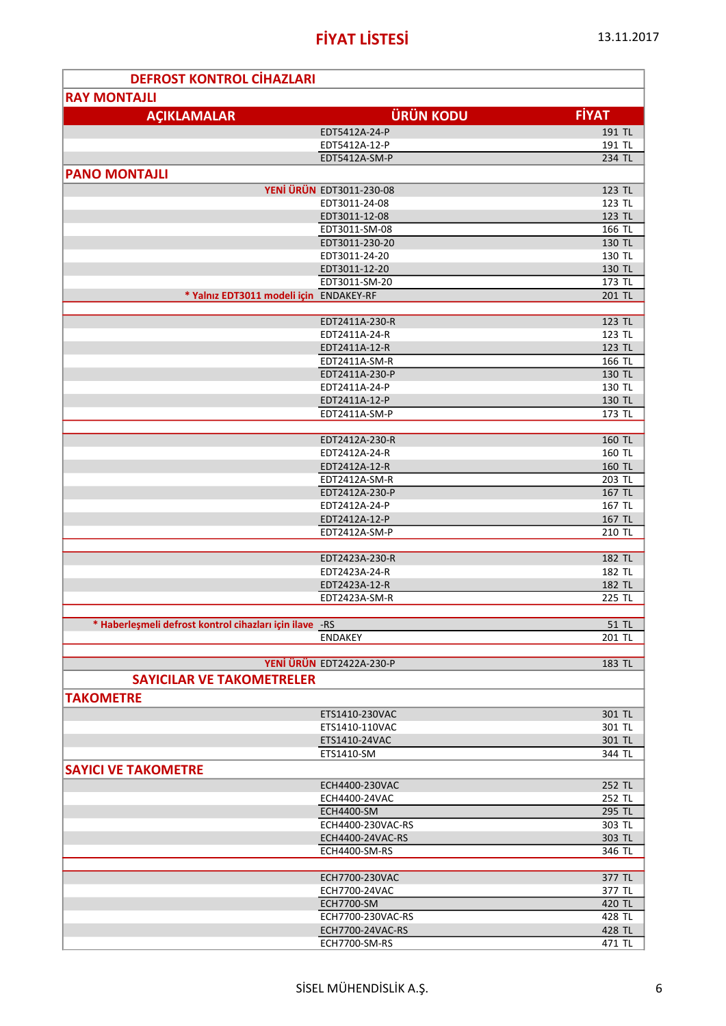ä

| <b>DEFROST KONTROL CIHAZLARI</b>                         |                                 |                  |
|----------------------------------------------------------|---------------------------------|------------------|
| <b>RAY MONTAJLI</b>                                      |                                 |                  |
|                                                          |                                 | <b>FİYAT</b>     |
| <b>AÇIKLAMALAR</b>                                       | <b>ÜRÜN KODU</b>                |                  |
|                                                          | EDT5412A-24-P                   | 191 TL           |
|                                                          | EDT5412A-12-P                   | 191 TL           |
|                                                          | EDT5412A-SM-P                   | 234 TL           |
| <b>PANO MONTAJLI</b>                                     |                                 |                  |
|                                                          | <b>YENİ ÜRÜN EDT3011-230-08</b> | 123 TL           |
|                                                          | EDT3011-24-08                   | 123 TL           |
|                                                          | EDT3011-12-08                   | 123 TL           |
|                                                          | EDT3011-SM-08                   | 166 TL           |
|                                                          | EDT3011-230-20                  | 130 TL           |
|                                                          | EDT3011-24-20                   | 130 TL           |
|                                                          | EDT3011-12-20                   | 130 TL           |
|                                                          | EDT3011-SM-20                   | 173 TL           |
| * Yalnız EDT3011 modeli için ENDAKEY-RF                  |                                 | 201 TL           |
|                                                          |                                 |                  |
|                                                          | EDT2411A-230-R                  | 123 TL           |
|                                                          | EDT2411A-24-R                   | 123 TL           |
|                                                          | EDT2411A-12-R                   | 123 TL           |
|                                                          | EDT2411A-SM-R                   | 166 TL           |
|                                                          | EDT2411A-230-P                  | 130 TL           |
|                                                          | EDT2411A-24-P                   | 130 TL           |
|                                                          | EDT2411A-12-P                   | 130 TL           |
|                                                          | EDT2411A-SM-P                   | 173 TL           |
|                                                          | EDT2412A-230-R                  | 160 TL           |
|                                                          | EDT2412A-24-R                   | 160 TL           |
|                                                          | EDT2412A-12-R                   | 160 TL           |
|                                                          | EDT2412A-SM-R                   | 203 TL           |
|                                                          | EDT2412A-230-P                  | 167 TL           |
|                                                          | EDT2412A-24-P                   | 167 TL           |
|                                                          | EDT2412A-12-P                   | 167 TL           |
|                                                          | EDT2412A-SM-P                   | 210 TL           |
|                                                          |                                 |                  |
|                                                          | EDT2423A-230-R                  | 182 TL           |
|                                                          | EDT2423A-24-R                   | 182 TL           |
|                                                          | EDT2423A-12-R                   | 182 TL           |
|                                                          | EDT2423A-SM-R                   | 225 TL           |
|                                                          |                                 |                  |
| * Haberleşmeli defrost kontrol cihazları için ilave - RS |                                 | 51 TL            |
|                                                          | <b>ENDAKEY</b>                  | 201 TL           |
|                                                          |                                 |                  |
|                                                          | YENİ ÜRÜN EDT2422A-230-P        | 183 TL           |
| <b>SAYICILAR VE TAKOMETRELER</b>                         |                                 |                  |
| <b>TAKOMETRE</b>                                         |                                 |                  |
|                                                          |                                 |                  |
|                                                          | ETS1410-230VAC                  | 301 TL           |
|                                                          | ETS1410-110VAC<br>ETS1410-24VAC | 301 TL           |
|                                                          | ETS1410-SM                      | 301 TL<br>344 TL |
|                                                          |                                 |                  |
| <b>SAYICI VE TAKOMETRE</b>                               |                                 |                  |
|                                                          | ECH4400-230VAC                  | 252 TL           |
|                                                          | ECH4400-24VAC                   | 252 TL           |
|                                                          | ECH4400-SM                      | 295 TL           |
|                                                          | ECH4400-230VAC-RS               | 303 TL           |
|                                                          | ECH4400-24VAC-RS                | 303 TL           |
|                                                          | ECH4400-SM-RS                   | 346 TL           |
|                                                          |                                 |                  |
|                                                          | ECH7700-230VAC                  | 377 TL           |
|                                                          | ECH7700-24VAC                   | 377 TL           |
|                                                          | ECH7700-SM                      | 420 TL           |
|                                                          | ECH7700-230VAC-RS               | 428 TL           |
|                                                          | ECH7700-24VAC-RS                | 428 TL           |
|                                                          | ECH7700-SM-RS                   | 471 TL           |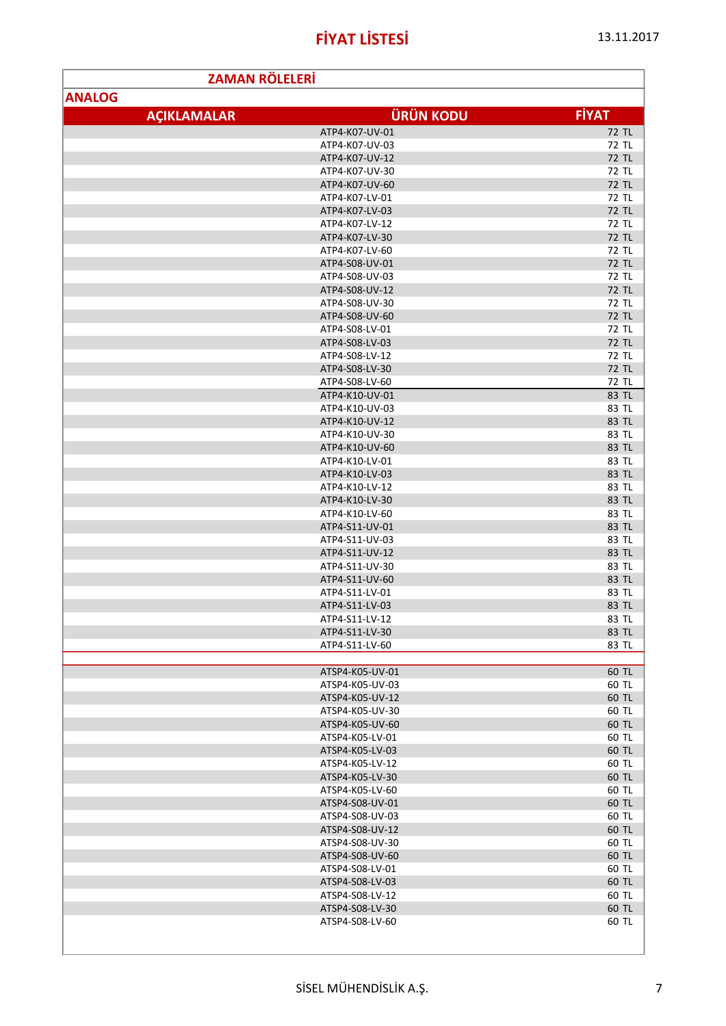| <b>ZAMAN RÖLELERİ</b> |                                  |                |
|-----------------------|----------------------------------|----------------|
| <b>ANALOG</b>         |                                  |                |
| <b>ACIKLAMALAR</b>    | <b>ÜRÜN KODU</b>                 | <b>FİYAT</b>   |
|                       |                                  |                |
|                       | ATP4-K07-UV-01                   | 72 TL<br>72 TL |
|                       | ATP4-K07-UV-03<br>ATP4-K07-UV-12 | 72 TL          |
|                       | ATP4-K07-UV-30                   | 72 TL          |
|                       | ATP4-K07-UV-60                   | 72 TL          |
|                       | ATP4-K07-LV-01                   | 72 TL          |
|                       | ATP4-K07-LV-03                   | 72 TL          |
|                       | ATP4-K07-LV-12                   | 72 TL          |
|                       | ATP4-K07-LV-30                   | 72 TL          |
|                       | ATP4-K07-LV-60                   | 72 TL          |
|                       | ATP4-S08-UV-01                   | 72 TL          |
|                       | ATP4-S08-UV-03                   | 72 TL          |
|                       | ATP4-S08-UV-12                   | 72 TL          |
|                       | ATP4-S08-UV-30                   | 72 TL          |
|                       | ATP4-S08-UV-60                   | 72 TL          |
|                       | ATP4-S08-LV-01                   | 72 TL          |
|                       | ATP4-S08-LV-03                   | 72 TL          |
|                       | ATP4-S08-LV-12                   | 72 TL          |
|                       | ATP4-S08-LV-30                   | 72 TL          |
|                       | ATP4-S08-LV-60                   | 72 TL          |
|                       | ATP4-K10-UV-01                   | 83 TL          |
|                       | ATP4-K10-UV-03<br>ATP4-K10-UV-12 | 83 TL          |
|                       | ATP4-K10-UV-30                   | 83 TL<br>83 TL |
|                       | ATP4-K10-UV-60                   | 83 TL          |
|                       | ATP4-K10-LV-01                   | 83 TL          |
|                       | ATP4-K10-LV-03                   | 83 TL          |
|                       | ATP4-K10-LV-12                   | 83 TL          |
|                       | ATP4-K10-LV-30                   | 83 TL          |
|                       | ATP4-K10-LV-60                   | 83 TL          |
|                       | ATP4-S11-UV-01                   | 83 TL          |
|                       | ATP4-S11-UV-03                   | 83 TL          |
|                       | ATP4-S11-UV-12                   | 83 TL          |
|                       | ATP4-S11-UV-30                   | 83 TL          |
|                       | ATP4-S11-UV-60                   | 83 TL          |
|                       | ATP4-S11-LV-01                   | 83 TL          |
|                       | ATP4-S11-LV-03                   | 83 TL          |
|                       | ATP4-S11-LV-12                   | 83 TL          |
|                       | ATP4-S11-LV-30                   | 83 TL          |
|                       | ATP4-S11-LV-60                   | 83 TL          |
|                       | ATSP4-K05-UV-01                  | 60 TL          |
|                       | ATSP4-K05-UV-03                  | 60 TL          |
|                       | ATSP4-K05-UV-12                  | 60 TL          |
|                       | ATSP4-K05-UV-30                  | 60 TL          |
|                       | ATSP4-K05-UV-60                  | 60 TL          |
|                       | ATSP4-K05-LV-01                  | 60 TL          |
|                       | ATSP4-K05-LV-03                  | 60 TL          |
|                       | ATSP4-K05-LV-12                  | 60 TL          |
|                       | ATSP4-K05-LV-30                  | 60 TL          |
|                       | ATSP4-K05-LV-60                  | 60 TL          |
|                       | ATSP4-S08-UV-01                  | 60 TL          |
|                       | ATSP4-S08-UV-03                  | 60 TL          |
|                       | ATSP4-S08-UV-12                  | 60 TL          |
|                       | ATSP4-S08-UV-30                  | 60 TL          |
|                       | ATSP4-S08-UV-60                  | 60 TL          |
|                       | ATSP4-S08-LV-01                  | 60 TL          |
|                       | ATSP4-S08-LV-03                  | 60 TL          |
|                       | ATSP4-S08-LV-12                  | 60 TL          |
|                       | ATSP4-S08-LV-30                  | 60 TL          |
|                       | ATSP4-S08-LV-60                  | 60 TL          |
|                       |                                  |                |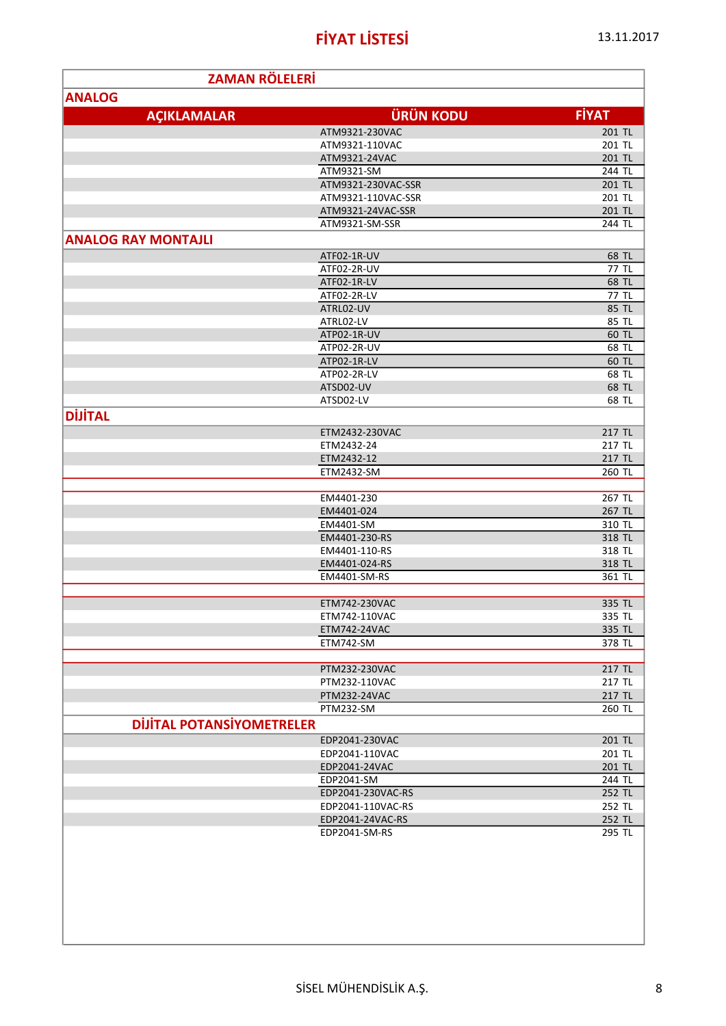| <b>ZAMAN RÖLELERİ</b>            |                               |                  |
|----------------------------------|-------------------------------|------------------|
| <b>ANALOG</b>                    |                               |                  |
| <b>AÇIKLAMALAR</b>               | <b>ÜRÜN KODU</b>              | <b>FİYAT</b>     |
|                                  | ATM9321-230VAC                | 201 TL           |
|                                  | ATM9321-110VAC                | 201 TL           |
|                                  | ATM9321-24VAC                 | 201 TL           |
|                                  | ATM9321-SM                    | 244 TL           |
|                                  | ATM9321-230VAC-SSR            | 201 TL           |
|                                  | ATM9321-110VAC-SSR            | 201 TL           |
|                                  | ATM9321-24VAC-SSR             | 201 TL           |
|                                  | ATM9321-SM-SSR                | 244 TL           |
| <b>ANALOG RAY MONTAJLI</b>       |                               |                  |
|                                  | ATF02-1R-UV                   | 68 TL            |
|                                  | ATF02-2R-UV                   | 77 TL            |
|                                  | ATF02-1R-LV                   | 68 TL            |
|                                  | ATF02-2R-LV                   | 77 TL            |
|                                  | ATRL02-UV                     | 85 TL            |
|                                  | ATRL02-LV                     | 85 TL            |
|                                  | ATP02-1R-UV                   | 60 TL            |
|                                  | ATP02-2R-UV                   | 68 TL            |
|                                  | ATP02-1R-LV                   | 60 TL            |
|                                  | ATP02-2R-LV                   | 68 TL            |
|                                  | ATSD02-UV                     | 68 TL            |
|                                  | ATSD02-LV                     | 68 TL            |
| <b>DİJİTAL</b>                   |                               |                  |
|                                  | ETM2432-230VAC                | 217 TL           |
|                                  | ETM2432-24                    | 217 TL           |
|                                  | ETM2432-12                    | 217 TL           |
|                                  | ETM2432-SM                    | 260 TL           |
|                                  | EM4401-230                    | 267 TL           |
|                                  | EM4401-024                    | 267 TL           |
|                                  | EM4401-SM                     | 310 TL           |
|                                  | EM4401-230-RS                 | 318 TL           |
|                                  | EM4401-110-RS                 | 318 TL           |
|                                  | EM4401-024-RS                 | 318 TL           |
|                                  | EM4401-SM-RS                  | 361 TL           |
|                                  |                               |                  |
|                                  | ETM742-230VAC                 | 335 TL           |
|                                  | ETM742-110VAC                 | 335 TL           |
|                                  | ETM742-24VAC                  | 335 TL           |
|                                  | ETM742-SM                     | 378 TL           |
|                                  |                               |                  |
|                                  | PTM232-230VAC                 | 217 TL           |
|                                  | PTM232-110VAC<br>PTM232-24VAC | 217 TL<br>217 TL |
|                                  | PTM232-SM                     | 260 TL           |
| <b>DIJITAL POTANSIYOMETRELER</b> |                               |                  |
|                                  | EDP2041-230VAC                |                  |
|                                  | EDP2041-110VAC                | 201 TL<br>201 TL |
|                                  | EDP2041-24VAC                 | 201 TL           |
|                                  | EDP2041-SM                    | 244 TL           |
|                                  | EDP2041-230VAC-RS             | 252 TL           |
|                                  | EDP2041-110VAC-RS             | 252 TL           |
|                                  | EDP2041-24VAC-RS              | 252 TL           |
|                                  | EDP2041-SM-RS                 | $295$ TL         |
|                                  |                               |                  |
|                                  |                               |                  |
|                                  |                               |                  |
|                                  |                               |                  |
|                                  |                               |                  |
|                                  |                               |                  |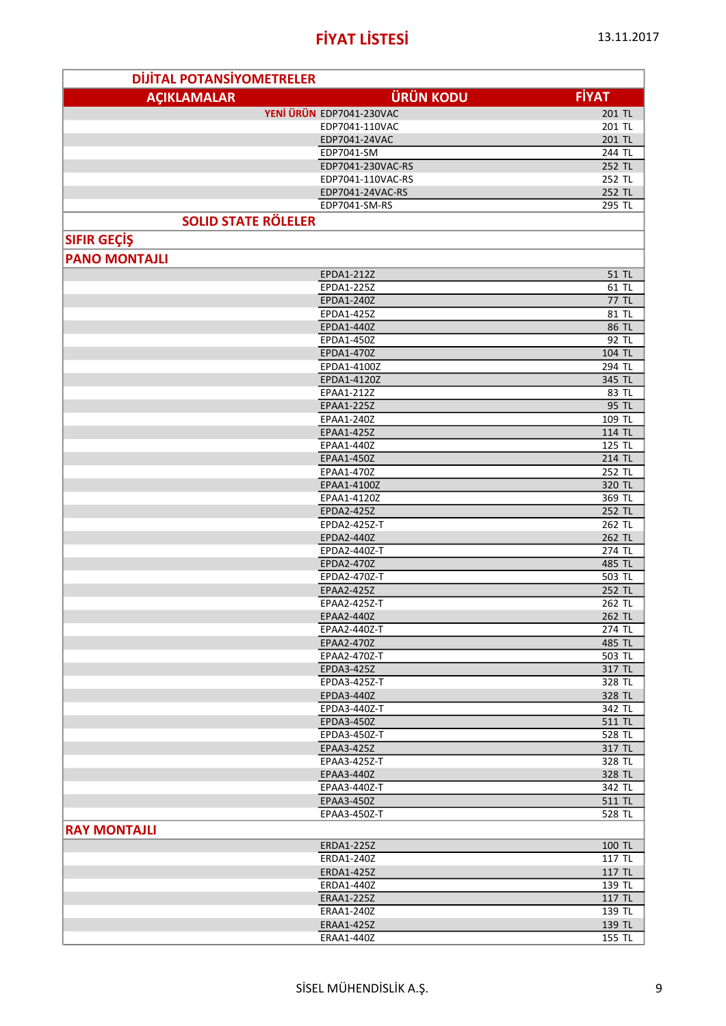| <b>DIJITAL POTANSIYOMETRELER</b> |                            |                  |
|----------------------------------|----------------------------|------------------|
| <b>AÇIKLAMALAR</b>               | <b>ÜRÜN KODU</b>           | <b>FİYAT</b>     |
|                                  | YENİ ÜRÜN EDP7041-230VAC   | 201 TL           |
|                                  | EDP7041-110VAC             | 201 TL           |
|                                  | EDP7041-24VAC              | 201 TL           |
|                                  | EDP7041-SM                 | 244 TL           |
|                                  | EDP7041-230VAC-RS          | 252 TL           |
|                                  | EDP7041-110VAC-RS          | 252 TL           |
|                                  | EDP7041-24VAC-RS           | 252 TL<br>295 TL |
| <b>SOLID STATE RÖLELER</b>       | EDP7041-SM-RS              |                  |
|                                  |                            |                  |
| <b>SIFIR GEÇİŞ</b>               |                            |                  |
| <b>PANO MONTAJLI</b>             |                            |                  |
|                                  | EPDA1-212Z                 | 51 TL            |
|                                  | EPDA1-225Z                 | 61 TL            |
|                                  | EPDA1-240Z<br>EPDA1-425Z   | 77 TL<br>81 TL   |
|                                  | EPDA1-440Z                 | 86 TL            |
|                                  | EPDA1-450Z                 | 92 TL            |
|                                  | EPDA1-470Z                 | 104 TL           |
|                                  | EPDA1-4100Z                | 294 TL           |
|                                  | EPDA1-4120Z                | 345 TL           |
|                                  | EPAA1-212Z                 | 83 TL            |
|                                  | EPAA1-225Z                 | 95 TL            |
|                                  | EPAA1-240Z                 | 109 TL           |
|                                  | EPAA1-425Z<br>EPAA1-440Z   | 114 TL<br>125 TL |
|                                  | EPAA1-450Z                 | 214 TL           |
|                                  | EPAA1-470Z                 | 252 TL           |
|                                  | EPAA1-4100Z                | 320 TL           |
|                                  | EPAA1-4120Z                | 369 TL           |
|                                  | EPDA2-425Z                 | 252 TL           |
|                                  | EPDA2-425Z-T               | 262 TL           |
|                                  | EPDA2-440Z                 | 262 TL           |
|                                  | EPDA2-440Z-T               | 274 TL           |
|                                  | EPDA2-470Z                 | 485 TL           |
|                                  | EPDA2-470Z-T<br>EPAA2-425Z | 503 TL<br>252 TL |
|                                  | EPAA2-425Z-T               | 262 TL           |
|                                  | EPAA2-440Z                 | 262 TL           |
|                                  | EPAA2-440Z-T               | 274 TL           |
|                                  | EPAA2-470Z                 | 485 TL           |
|                                  | EPAA2-470Z-T               | 503 TL           |
|                                  | EPDA3-425Z                 | 317 TL           |
|                                  | EPDA3-425Z-T               | 328 TL           |
|                                  | <b>EPDA3-440Z</b>          | 328 TL           |
|                                  | EPDA3-440Z-T               | 342 TL           |
|                                  | EPDA3-450Z<br>EPDA3-450Z-T | 511 TL<br>528 TL |
|                                  | EPAA3-425Z                 | 317 TL           |
|                                  | EPAA3-425Z-T               | 328 TL           |
|                                  | EPAA3-440Z                 | 328 TL           |
|                                  | EPAA3-440Z-T               | 342 TL           |
|                                  | EPAA3-450Z                 | 511 TL           |
|                                  | EPAA3-450Z-T               | 528 TL           |
| <b>RAY MONTAJLI</b>              |                            |                  |
|                                  | ERDA1-225Z                 | 100 TL           |
|                                  | ERDA1-240Z                 | 117 TL           |
|                                  | ERDA1-425Z                 | 117 TL           |
|                                  | ERDA1-440Z                 | 139 TL           |
|                                  | <b>ERAA1-225Z</b>          | 117 TL           |
|                                  | ERAA1-240Z<br>ERAA1-425Z   | 139 TL           |
|                                  | ERAA1-440Z                 | 139 TL<br>155 TL |
|                                  |                            |                  |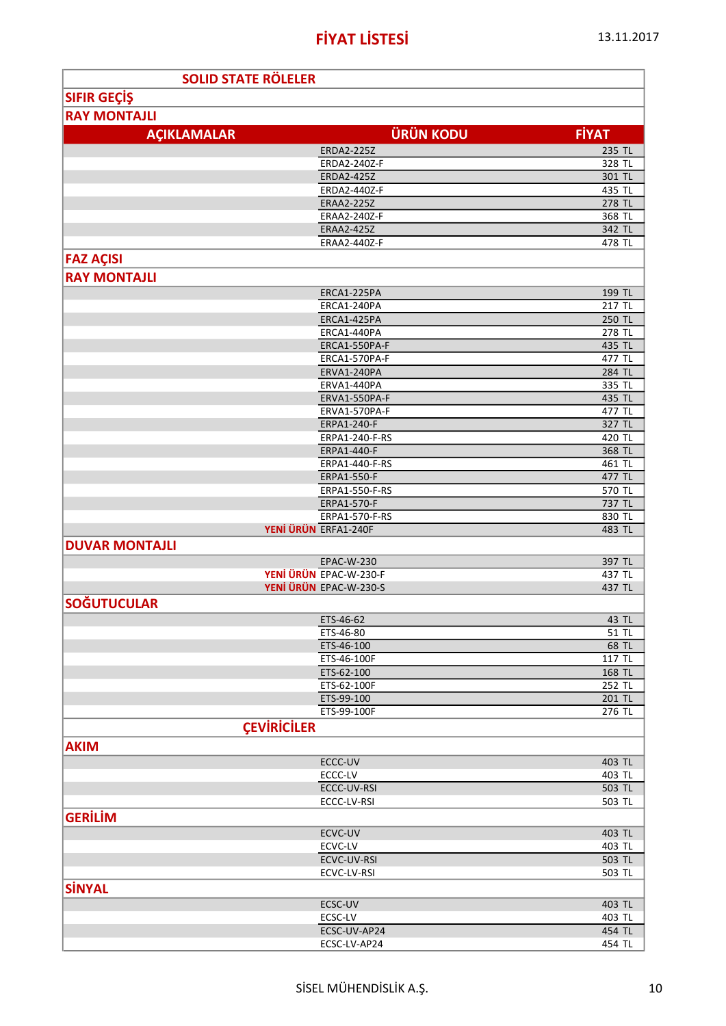ų

| <b>SOLID STATE RÖLELER</b> |                                      |                     |
|----------------------------|--------------------------------------|---------------------|
| <b>SIFIR GEÇİŞ</b>         |                                      |                     |
| <b>RAY MONTAJLI</b>        |                                      |                     |
|                            |                                      |                     |
| <b>AÇIKLAMALAR</b>         | <b>ÜRÜN KODU</b>                     | <b>FİYAT</b>        |
|                            | <b>ERDA2-225Z</b>                    | 235 TL              |
|                            | ERDA2-240Z-F                         | 328 TL              |
|                            | <b>ERDA2-425Z</b>                    | 301 TL              |
|                            | ERDA2-440Z-F                         | $\overline{4}35$ TL |
|                            | <b>ERAA2-225Z</b>                    | 278 TL              |
|                            | <b>ERAA2-240Z-F</b>                  | 368 TL              |
|                            | <b>ERAA2-425Z</b><br>ERAA2-440Z-F    | 342 TL              |
|                            |                                      | 478 TL              |
| <b>FAZ AÇISI</b>           |                                      |                     |
| <b>RAY MONTAJLI</b>        |                                      |                     |
|                            | ERCA1-225PA                          | 199 TL              |
|                            | ERCA1-240PA                          | 217 TL              |
|                            | ERCA1-425PA                          | 250 TL              |
|                            | ERCA1-440PA                          | 278 TL              |
|                            | ERCA1-550PA-F                        | 435 TL              |
|                            | ERCA1-570PA-F                        | 477 TL              |
|                            | ERVA1-240PA                          | 284 TL              |
|                            | ERVA1-440PA                          | 335 TL              |
|                            | ERVA1-550PA-F                        | 435 TL              |
|                            | ERVA1-570PA-F                        | 477 TL              |
|                            | <b>ERPA1-240-F</b><br>ERPA1-240-F-RS | 327 TL<br>420 TL    |
|                            | ERPA1-440-F                          | 368 TL              |
|                            | ERPA1-440-F-RS                       | 461 TL              |
|                            | ERPA1-550-F                          | 477 TL              |
|                            | ERPA1-550-F-RS                       | 570 TL              |
|                            | ERPA1-570-F                          | 737 TL              |
|                            | ERPA1-570-F-RS                       | 830 TL              |
|                            | YENİ ÜRÜN ERFA1-240F                 | 483 TL              |
| <b>DUVAR MONTAJLI</b>      |                                      |                     |
|                            | <b>EPAC-W-230</b>                    | 397 TL              |
|                            | YENİ ÜRÜN EPAC-W-230-F               | 437 TL              |
|                            | YENİ ÜRÜN EPAC-W-230-S               | 437 TL              |
| <b>SOĞUTUCULAR</b>         |                                      |                     |
|                            | ETS-46-62                            | 43 TL               |
|                            | ETS-46-80                            | 51 TL               |
|                            | ETS-46-100                           | 68 TL               |
|                            | ETS-46-100F                          | 117 TL              |
|                            | ETS-62-100                           | 168 TL              |
|                            | ETS-62-100F                          | 252 TL              |
|                            | ETS-99-100                           | 201 TL              |
|                            | ETS-99-100F                          | 276 TL              |
|                            | <b>ÇEVIRICILER</b>                   |                     |
| <b>AKIM</b>                |                                      |                     |
|                            |                                      |                     |
|                            | ECCC-UV                              | 403 TL              |
|                            | $ECCC-LV$                            | 403 TL              |
|                            | ECCC-UV-RSI                          | 503 TL              |
|                            | ECCC-LV-RSI                          | 503 TL              |
| <b>GERİLİM</b>             |                                      |                     |
|                            | ECVC-UV                              | 403 TL              |
|                            | ECVC-LV                              | 403 TL              |
|                            | ECVC-UV-RSI                          | 503 TL              |
|                            | ECVC-LV-RSI                          | 503 TL              |
| <b>SİNYAL</b>              |                                      |                     |
|                            | ECSC-UV                              | 403 TL              |
|                            | ECSC-LV                              | 403 TL              |
|                            | ECSC-UV-AP24                         | 454 TL              |
|                            | ECSC-LV-AP24                         | 454 TL              |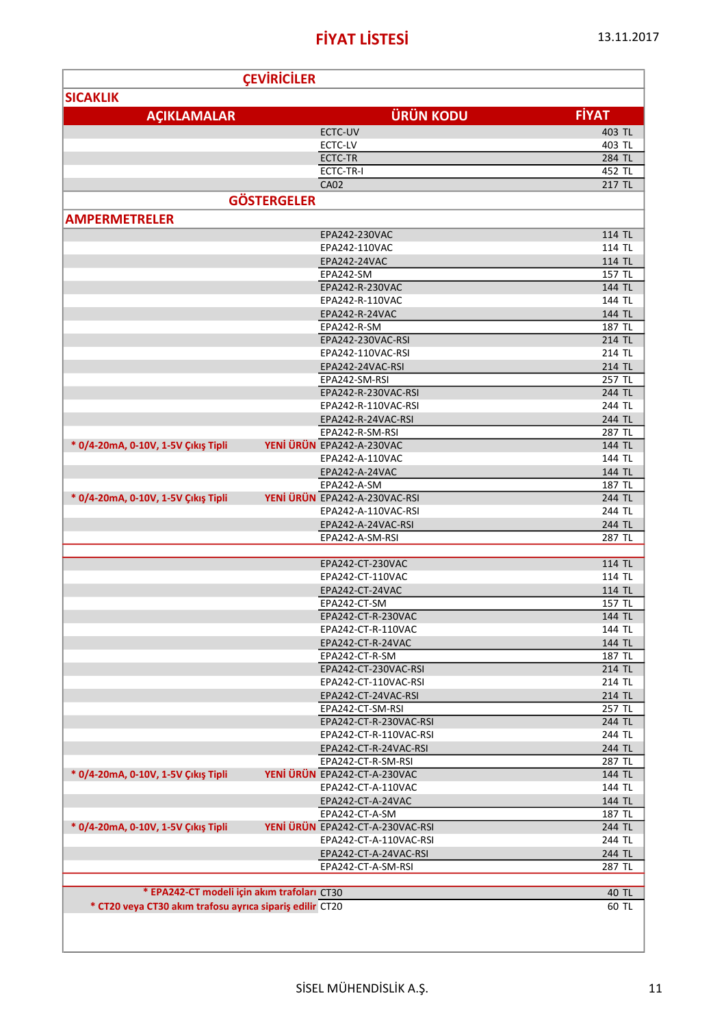|                                                          | <b>ÇEVIRICILER</b> |                                           |                  |
|----------------------------------------------------------|--------------------|-------------------------------------------|------------------|
| <b>SICAKLIK</b>                                          |                    |                                           |                  |
|                                                          |                    |                                           |                  |
| <b>AÇIKLAMALAR</b>                                       |                    | <b>ÜRÜN KODU</b>                          | <b>FİYAT</b>     |
|                                                          |                    | ECTC-UV                                   | 403 TL           |
|                                                          |                    | ECTC-LV                                   | 403 TL           |
|                                                          |                    | ECTC-TR                                   | 284 TL           |
|                                                          |                    | ECTC-TR-I                                 | 452 TL           |
|                                                          |                    | <b>CA02</b>                               | 217 TL           |
|                                                          | <b>GÖSTERGELER</b> |                                           |                  |
| <b>AMPERMETRELER</b>                                     |                    |                                           |                  |
|                                                          |                    |                                           |                  |
|                                                          |                    | EPA242-230VAC                             | 114 TL           |
|                                                          |                    | EPA242-110VAC                             | 114 TL           |
|                                                          |                    | EPA242-24VAC                              | 114 TL           |
|                                                          |                    | EPA242-SM                                 | 157 TL           |
|                                                          |                    | EPA242-R-230VAC                           | 144 TL           |
|                                                          |                    | EPA242-R-110VAC                           | 144 TL           |
|                                                          |                    | EPA242-R-24VAC                            | 144 TL           |
|                                                          |                    | EPA242-R-SM                               | 187 TL           |
|                                                          |                    | EPA242-230VAC-RSI                         | 214 TL           |
|                                                          |                    | EPA242-110VAC-RSI                         | 214 TL           |
|                                                          |                    | EPA242-24VAC-RSI                          | 214 TL           |
|                                                          |                    | EPA242-SM-RSI                             | 257 TL           |
|                                                          |                    | EPA242-R-230VAC-RSI                       | 244 TL           |
|                                                          |                    | EPA242-R-110VAC-RSI<br>EPA242-R-24VAC-RSI | 244 TL<br>244 TL |
|                                                          |                    | EPA242-R-SM-RSI                           | 287 TL           |
| * 0/4-20mA, 0-10V, 1-5V Çıkış Tipli                      |                    | YENİ ÜRÜN EPA242-A-230VAC                 | 144 TL           |
|                                                          |                    | EPA242-A-110VAC                           | 144 TL           |
|                                                          |                    | EPA242-A-24VAC                            | 144 TL           |
|                                                          |                    | EPA242-A-SM                               | 187 TL           |
| * 0/4-20mA, 0-10V, 1-5V Çıkış Tipli                      |                    | YENİ ÜRÜN EPA242-A-230VAC-RSI             | 244 TL           |
|                                                          |                    | EPA242-A-110VAC-RSI                       | 244 TL           |
|                                                          |                    | EPA242-A-24VAC-RSI                        | 244 TL           |
|                                                          |                    | EPA242-A-SM-RSI                           | 287 TL           |
|                                                          |                    |                                           |                  |
|                                                          |                    | EPA242-CT-230VAC                          | 114 TL           |
|                                                          |                    | EPA242-CT-110VAC                          | 114 TL           |
|                                                          |                    | EPA242-CT-24VAC                           | 114 TL           |
|                                                          |                    | EPA242-CT-SM                              | 157 TL           |
|                                                          |                    | EPA242-CT-R-230VAC                        | 144 TL           |
|                                                          |                    | EPA242-CT-R-110VAC                        | 144 TL           |
|                                                          |                    | EPA242-CT-R-24VAC                         | 144 TL           |
|                                                          |                    | EPA242-CT-R-SM                            | 187 TL           |
|                                                          |                    | EPA242-CT-230VAC-RSI                      | 214 TL           |
|                                                          |                    | EPA242-CT-110VAC-RSI                      | 214 TL           |
|                                                          |                    | EPA242-CT-24VAC-RSI                       | 214 TL           |
|                                                          |                    | EPA242-CT-SM-RSI                          | $257$ TL         |
|                                                          |                    | EPA242-CT-R-230VAC-RSI                    | 244 TL           |
|                                                          |                    | EPA242-CT-R-110VAC-RSI                    | 244 TL           |
|                                                          |                    | EPA242-CT-R-24VAC-RSI                     | 244 TL           |
|                                                          |                    | EPA242-CT-R-SM-RSI                        | 287 TL           |
| * 0/4-20mA, 0-10V, 1-5V Çıkış Tipli                      |                    | YENİ ÜRÜN EPA242-CT-A-230VAC              | 144 TL           |
|                                                          |                    | EPA242-CT-A-110VAC                        | 144 TL           |
|                                                          |                    | EPA242-CT-A-24VAC                         | 144 TL           |
|                                                          |                    | EPA242-CT-A-SM                            | 187 TL           |
| * 0/4-20mA, 0-10V, 1-5V Çıkış Tipli                      |                    | YENİ ÜRÜN EPA242-CT-A-230VAC-RSI          | 244 TL           |
|                                                          |                    | EPA242-CT-A-110VAC-RSI                    | 244 TL           |
|                                                          |                    | EPA242-CT-A-24VAC-RSI                     | 244 TL           |
|                                                          |                    | EPA242-CT-A-SM-RSI                        | 287 TL           |
|                                                          |                    |                                           |                  |
| * EPA242-CT modeli için akım trafoları CT30              |                    |                                           | 40 TL            |
| * CT20 veya CT30 akım trafosu ayrıca sipariş edilir CT20 |                    |                                           | 60 TL            |
|                                                          |                    |                                           |                  |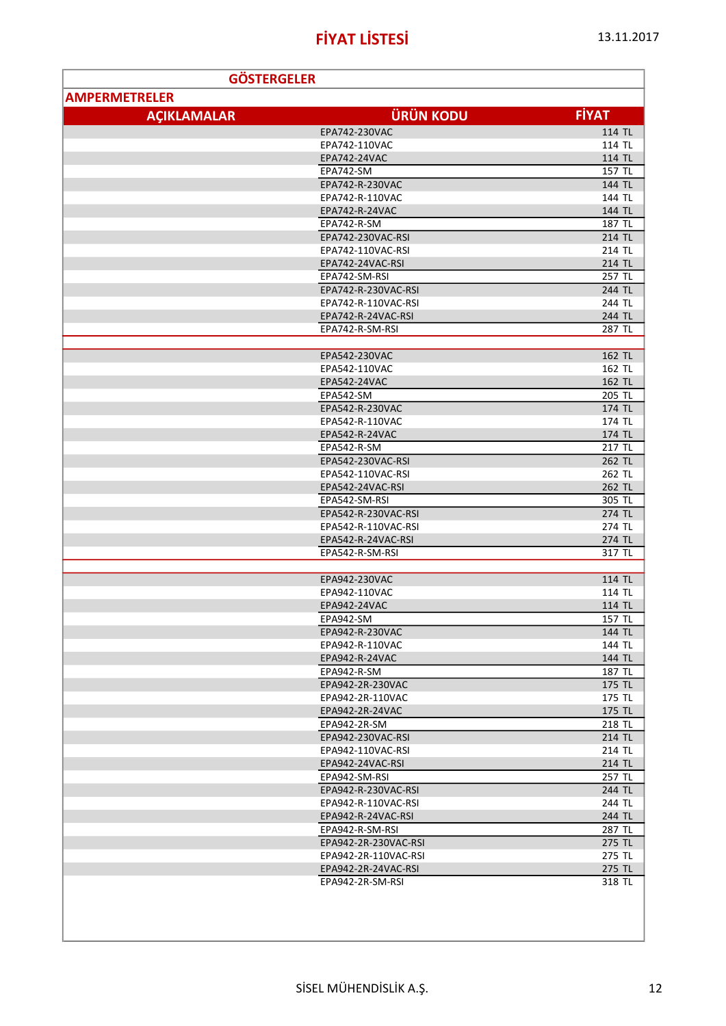| <b>GÖSTERGELER</b>   |                      |              |
|----------------------|----------------------|--------------|
| <b>AMPERMETRELER</b> |                      |              |
|                      |                      |              |
| <b>ACIKLAMALAR</b>   | <b>ÜRÜN KODU</b>     | <b>FİYAT</b> |
|                      | EPA742-230VAC        | 114 TL       |
|                      | EPA742-110VAC        | 114 TL       |
|                      | EPA742-24VAC         | 114 TL       |
|                      | EPA742-SM            | 157 TL       |
|                      | EPA742-R-230VAC      | 144 TL       |
|                      | EPA742-R-110VAC      | 144 TL       |
|                      | EPA742-R-24VAC       | 144 TL       |
|                      | EPA742-R-SM          | 187 TL       |
|                      | EPA742-230VAC-RSI    | 214 TL       |
|                      | EPA742-110VAC-RSI    | 214 TL       |
|                      | EPA742-24VAC-RSI     | 214 TL       |
|                      | EPA742-SM-RSI        | 257 TL       |
|                      | EPA742-R-230VAC-RSI  | 244 TL       |
|                      | EPA742-R-110VAC-RSI  | 244 TL       |
|                      | EPA742-R-24VAC-RSI   | 244 TL       |
|                      | EPA742-R-SM-RSI      | 287 TL       |
|                      |                      |              |
|                      | EPA542-230VAC        | 162 TL       |
|                      | EPA542-110VAC        | 162 TL       |
|                      | EPA542-24VAC         | 162 TL       |
|                      | EPA542-SM            | 205 TL       |
|                      | EPA542-R-230VAC      | 174 TL       |
|                      | EPA542-R-110VAC      | 174 TL       |
|                      | EPA542-R-24VAC       | 174 TL       |
|                      | EPA542-R-SM          | 217 TL       |
|                      | EPA542-230VAC-RSI    | 262 TL       |
|                      | EPA542-110VAC-RSI    | 262 TL       |
|                      | EPA542-24VAC-RSI     | 262 TL       |
|                      | EPA542-SM-RSI        | $305$ TL     |
|                      | EPA542-R-230VAC-RSI  | 274 TL       |
|                      | EPA542-R-110VAC-RSI  | 274 TL       |
|                      | EPA542-R-24VAC-RSI   | 274 TL       |
|                      | EPA542-R-SM-RSI      | 317 TL       |
|                      |                      |              |
|                      | EPA942-230VAC        | 114 TL       |
|                      | EPA942-110VAC        | 114 TL       |
|                      | <b>EPA942-24VAC</b>  | 114 TL       |
|                      | EPA942-SM            | 157 TL       |
|                      | EPA942-R-230VAC      | 144 TL       |
|                      | EPA942-R-110VAC      | 144 TL       |
|                      | EPA942-R-24VAC       | 144 TL       |
|                      | EPA942-R-SM          | 187 TL       |
|                      | EPA942-2R-230VAC     | 175 TL       |
|                      | EPA942-2R-110VAC     | 175 TL       |
|                      | EPA942-2R-24VAC      | 175 TL       |
|                      | EPA942-2R-SM         | 218 TL       |
|                      | EPA942-230VAC-RSI    | 214 TL       |
|                      | EPA942-110VAC-RSI    | 214 TL       |
|                      | EPA942-24VAC-RSI     | 214 TL       |
|                      | EPA942-SM-RSI        | 257 TL       |
|                      | EPA942-R-230VAC-RSI  | 244 TL       |
|                      | EPA942-R-110VAC-RSI  | 244 TL       |
|                      | EPA942-R-24VAC-RSI   | 244 TL       |
|                      | EPA942-R-SM-RSI      | 287 TL       |
|                      | EPA942-2R-230VAC-RSI | 275 TL       |
|                      | EPA942-2R-110VAC-RSI | 275 TL       |
|                      |                      |              |
|                      | EPA942-2R-24VAC-RSI  | 275 TL       |
|                      | EPA942-2R-SM-RSI     | 318 TL       |
|                      |                      |              |
|                      |                      |              |
|                      |                      |              |
|                      |                      |              |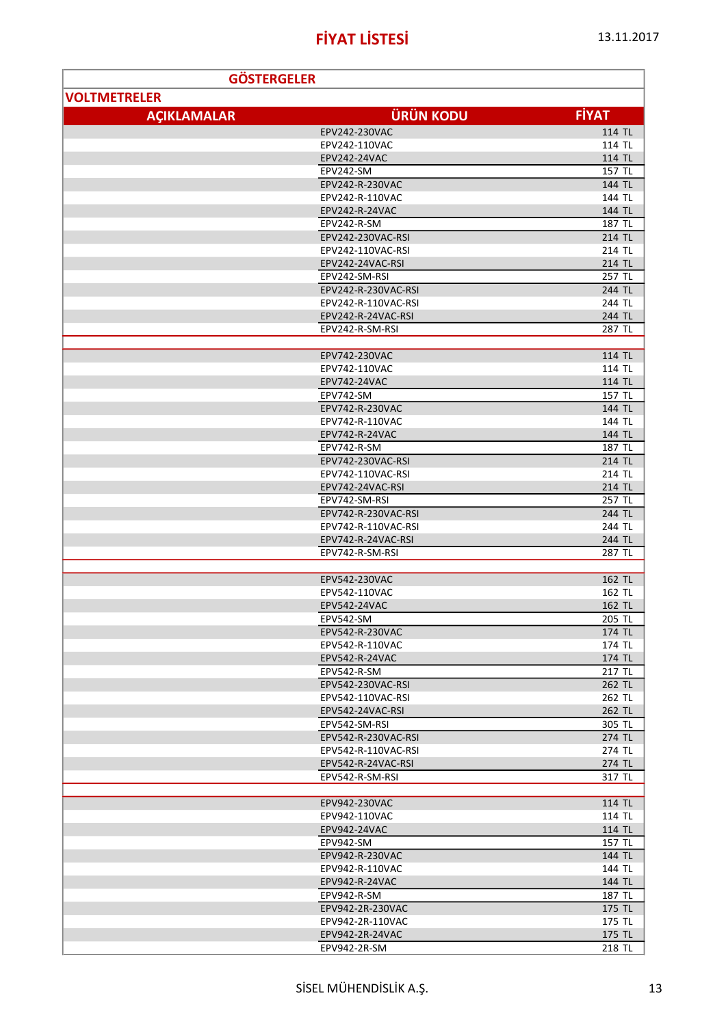| <b>GÖSTERGELER</b>  |                     |              |
|---------------------|---------------------|--------------|
| <b>VOLTMETRELER</b> |                     |              |
|                     |                     |              |
| <b>AÇIKLAMALAR</b>  | <b>ÜRÜN KODU</b>    | <b>FİYAT</b> |
|                     | EPV242-230VAC       | 114 TL       |
|                     | EPV242-110VAC       | 114 TL       |
|                     | EPV242-24VAC        | 114 TL       |
|                     | EPV242-SM           | 157 TL       |
|                     | EPV242-R-230VAC     | 144 TL       |
|                     | EPV242-R-110VAC     | 144 TL       |
|                     | EPV242-R-24VAC      | 144 TL       |
|                     | EPV242-R-SM         | 187 TL       |
|                     | EPV242-230VAC-RSI   | 214 TL       |
|                     | EPV242-110VAC-RSI   | 214 TL       |
|                     | EPV242-24VAC-RSI    | 214 TL       |
|                     | EPV242-SM-RSI       | 257 TL       |
|                     | EPV242-R-230VAC-RSI | 244 TL       |
|                     | EPV242-R-110VAC-RSI | 244 TL       |
|                     | EPV242-R-24VAC-RSI  | 244 TL       |
|                     | EPV242-R-SM-RSI     | 287 TL       |
|                     |                     |              |
|                     | EPV742-230VAC       | 114 TL       |
|                     | EPV742-110VAC       | 114 TL       |
|                     | <b>EPV742-24VAC</b> | 114 TL       |
|                     | EPV742-SM           | 157 TL       |
|                     | EPV742-R-230VAC     | 144 TL       |
|                     | EPV742-R-110VAC     | 144 TL       |
|                     | EPV742-R-24VAC      | 144 TL       |
|                     | EPV742-R-SM         | 187 TL       |
|                     | EPV742-230VAC-RSI   | 214 TL       |
|                     | EPV742-110VAC-RSI   | 214 TL       |
|                     | EPV742-24VAC-RSI    | 214 TL       |
|                     | EPV742-SM-RSI       | 257 TL       |
|                     | EPV742-R-230VAC-RSI | 244 TL       |
|                     | EPV742-R-110VAC-RSI | 244 TL       |
|                     | EPV742-R-24VAC-RSI  | 244 TL       |
|                     | EPV742-R-SM-RSI     | 287 TL       |
|                     |                     |              |
|                     | EPV542-230VAC       | 162 TL       |
|                     | EPV542-110VAC       | 162 TL       |
|                     | EPV542-24VAC        | 162 TL       |
|                     | EPV542-SM           | 205 TL       |
|                     | EPV542-R-230VAC     | 174 TL       |
|                     | EPV542-R-110VAC     | 174 TL       |
|                     | EPV542-R-24VAC      | 174 TL       |
|                     | EPV542-R-SM         | 217 TL       |
|                     | EPV542-230VAC-RSI   | 262 TL       |
|                     | EPV542-110VAC-RSI   | 262 TL       |
|                     | EPV542-24VAC-RSI    | 262 TL       |
|                     | EPV542-SM-RSI       | 305 TL       |
|                     | EPV542-R-230VAC-RSI | 274 TL       |
|                     | EPV542-R-110VAC-RSI | 274 TL       |
|                     | EPV542-R-24VAC-RSI  | 274 TL       |
|                     | EPV542-R-SM-RSI     | 317 TL       |
|                     |                     |              |
|                     | EPV942-230VAC       | 114 TL       |
|                     | EPV942-110VAC       | 114 TL       |
|                     | EPV942-24VAC        | 114 TL       |
|                     | EPV942-SM           | 157 TL       |
|                     | EPV942-R-230VAC     | 144 TL       |
|                     | EPV942-R-110VAC     | 144 TL       |
|                     | EPV942-R-24VAC      | 144 TL       |
|                     | EPV942-R-SM         | 187 TL       |
|                     | EPV942-2R-230VAC    | 175 TL       |
|                     | EPV942-2R-110VAC    | 175 TL       |
|                     | EPV942-2R-24VAC     | 175 TL       |
|                     | EPV942-2R-SM        | 218 TL       |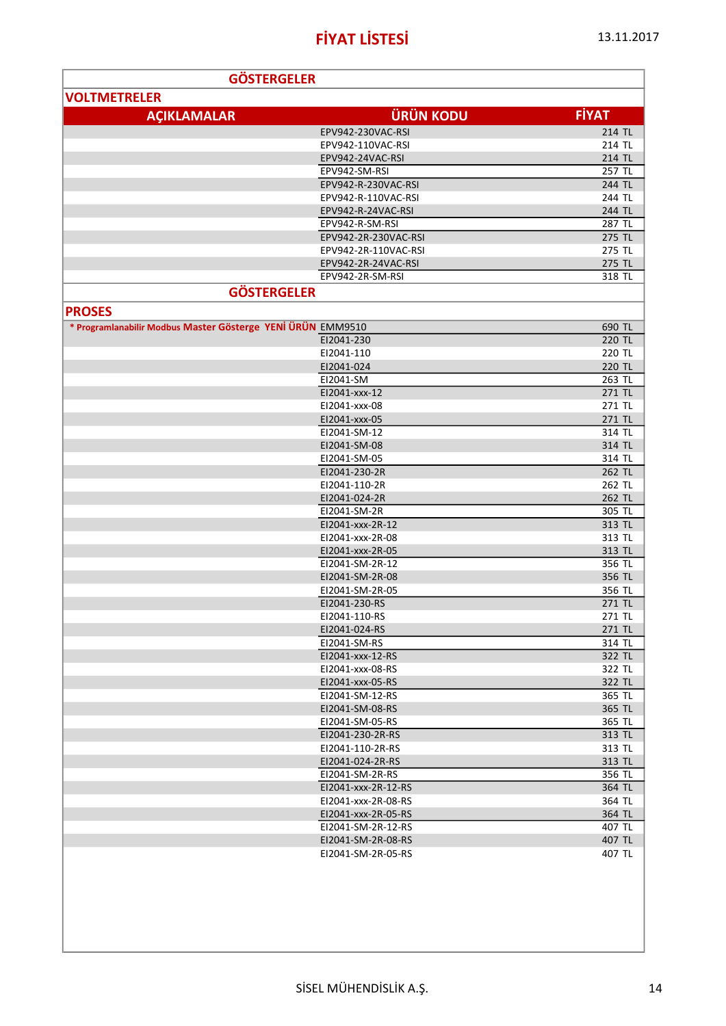| <b>GÖSTERGELER</b>                                          |                                     |                  |
|-------------------------------------------------------------|-------------------------------------|------------------|
| <b>VOLTMETRELER</b>                                         |                                     |                  |
| <b>AÇIKLAMALAR</b>                                          | <b>ÜRÜN KODU</b>                    | <b>FİYAT</b>     |
|                                                             | EPV942-230VAC-RSI                   | 214 TL           |
|                                                             | EPV942-110VAC-RSI                   | 214 TL           |
|                                                             | EPV942-24VAC-RSI                    | 214 TL           |
|                                                             | EPV942-SM-RSI                       | 257 TL           |
|                                                             | EPV942-R-230VAC-RSI                 | 244 TL           |
|                                                             | EPV942-R-110VAC-RSI                 | 244 TL           |
|                                                             | EPV942-R-24VAC-RSI                  | 244 TL           |
|                                                             | EPV942-R-SM-RSI                     | 287 TL           |
|                                                             | EPV942-2R-230VAC-RSI                | 275 TL           |
|                                                             | EPV942-2R-110VAC-RSI                | 275 TL           |
|                                                             | EPV942-2R-24VAC-RSI                 | 275 TL           |
|                                                             | EPV942-2R-SM-RSI                    | 318 TL           |
|                                                             | <b>GÖSTERGELER</b>                  |                  |
| <b>PROSES</b>                                               |                                     |                  |
| * Programlanabilir Modbus Master Gösterge YENİ ÜRÜN EMM9510 |                                     | 690 TL           |
|                                                             | EI2041-230                          | 220 TL           |
|                                                             | EI2041-110                          | 220 TL           |
|                                                             | EI2041-024                          | 220 TL           |
|                                                             | EI2041-SM                           | 263 TL           |
|                                                             | EI2041-xxx-12                       | 271 TL           |
|                                                             | EI2041-xxx-08                       | 271 TL           |
|                                                             | EI2041-xxx-05                       | 271 TL           |
|                                                             | EI2041-SM-12                        | 314 TL           |
|                                                             | EI2041-SM-08                        | 314 TL           |
|                                                             | EI2041-SM-05                        | 314 TL           |
|                                                             | EI2041-230-2R<br>EI2041-110-2R      | 262 TL<br>262 TL |
|                                                             | EI2041-024-2R                       | 262 TL           |
|                                                             | EI2041-SM-2R                        | 305 TL           |
|                                                             | EI2041-xxx-2R-12                    | 313 TL           |
|                                                             | EI2041-xxx-2R-08                    | 313 TL           |
|                                                             | EI2041-xxx-2R-05                    | 313 TL           |
|                                                             | EI2041-SM-2R-12                     | 356 TL           |
|                                                             | EI2041-SM-2R-08                     | 356 TL           |
|                                                             | EI2041-SM-2R-05                     | 356 TL           |
|                                                             | EI2041-230-RS                       | 271 TL           |
|                                                             | F12041-110-RS                       | 271 TL           |
|                                                             | EI2041-024-RS                       | 271 TL           |
|                                                             | EI2041-SM-RS                        | 314 TL           |
|                                                             | EI2041-xxx-12-RS                    | 322 TL           |
|                                                             | EI2041-xxx-08-RS                    | 322 TL           |
|                                                             | EI2041-xxx-05-RS                    | 322 TL           |
|                                                             | EI2041-SM-12-RS                     | 365 TL           |
|                                                             | EI2041-SM-08-RS                     | 365 TL           |
|                                                             | EI2041-SM-05-RS<br>EI2041-230-2R-RS | 365 TL<br>313 TL |
|                                                             | EI2041-110-2R-RS                    | 313 TL           |
|                                                             | EI2041-024-2R-RS                    | 313 TL           |
|                                                             | EI2041-SM-2R-RS                     | 356 TL           |
|                                                             | EI2041-xxx-2R-12-RS                 | 364 TL           |
|                                                             | EI2041-xxx-2R-08-RS                 | 364 TL           |
|                                                             | EI2041-xxx-2R-05-RS                 | 364 TL           |
|                                                             | EI2041-SM-2R-12-RS                  | 407 TL           |
|                                                             | EI2041-SM-2R-08-RS                  | 407 TL           |
|                                                             | EI2041-SM-2R-05-RS                  | 407 TL           |
|                                                             |                                     |                  |
|                                                             |                                     |                  |
|                                                             |                                     |                  |
|                                                             |                                     |                  |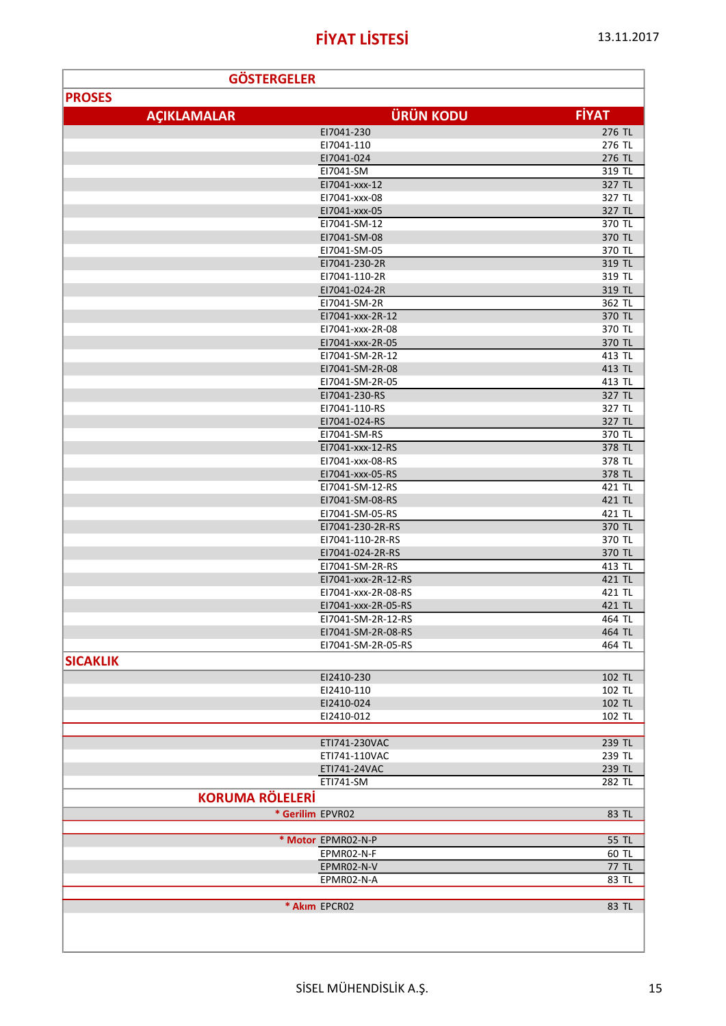| <b>GÖSTERGELER</b>     |                               |                  |
|------------------------|-------------------------------|------------------|
| <b>PROSES</b>          |                               |                  |
|                        | <b>ÜRÜN KODU</b>              | <b>FİYAT</b>     |
| <b>AÇIKLAMALAR</b>     |                               |                  |
|                        | EI7041-230                    | 276 TL           |
|                        | EI7041-110                    | 276 TL           |
|                        | EI7041-024<br>EI7041-SM       | 276 TL<br>319 TL |
|                        | E17041-xxx-12                 | 327 TL           |
|                        | E17041-xxx-08                 | 327 TL           |
|                        | E17041-xxx-05                 | 327 TL           |
|                        | EI7041-SM-12                  | 370 TL           |
|                        | EI7041-SM-08                  | 370 TL           |
|                        | EI7041-SM-05                  | 370 TL           |
|                        | EI7041-230-2R                 | 319 TL           |
|                        | EI7041-110-2R                 | 319 TL           |
|                        | EI7041-024-2R                 | 319 TL           |
|                        | E17041-SM-2R                  | 362 TL           |
|                        | E17041-xxx-2R-12              | 370 TL           |
|                        | EI7041-xxx-2R-08              | 370 TL           |
|                        | E17041-xxx-2R-05              | 370 TL           |
|                        | EI7041-SM-2R-12               | 413 TL           |
|                        | E17041-SM-2R-08               | 413 TL           |
|                        | EI7041-SM-2R-05               | 413 TL           |
|                        | EI7041-230-RS                 | 327 TL           |
|                        | EI7041-110-RS                 | 327 TL           |
|                        | EI7041-024-RS<br>E17041-SM-RS | 327 TL<br>370 TL |
|                        | E17041-xxx-12-RS              | 378 TL           |
|                        | E17041-xxx-08-RS              | 378 TL           |
|                        | E17041-xxx-05-RS              | 378 TL           |
|                        | EI7041-SM-12-RS               | 421 TL           |
|                        | E17041-SM-08-RS               | 421 TL           |
|                        | EI7041-SM-05-RS               | 421 TL           |
|                        | E17041-230-2R-RS              | 370 TL           |
|                        | E17041-110-2R-RS              | 370 TL           |
|                        | EI7041-024-2R-RS              | 370 TL           |
|                        | EI7041-SM-2R-RS               | 413 TL           |
|                        | E17041-xxx-2R-12-RS           | 421 TL           |
|                        | E17041-xxx-2R-08-RS           | 421 TL           |
|                        | EI7041-xxx-2R-05-RS           | 421 TL           |
|                        | E17041-SM-2R-12-RS            | 464 TL           |
|                        | EI7041-SM-2R-08-RS            | 464 TL           |
|                        | EI7041-SM-2R-05-RS            | 464 TL           |
| <b>SICAKLIK</b>        |                               |                  |
|                        | EI2410-230                    | 102 TL           |
|                        | EI2410-110                    | 102 TL           |
|                        | EI2410-024                    | 102 TL           |
|                        | EI2410-012                    | 102 TL           |
|                        |                               |                  |
|                        | ETI741-230VAC                 | 239 TL           |
|                        | ETI741-110VAC                 | 239 TL           |
|                        | ETI741-24VAC<br>ETI741-SM     | 239 TL<br>282 TL |
|                        |                               |                  |
| <b>KORUMA RÖLELERİ</b> |                               |                  |
| * Gerilim EPVR02       |                               | 83 TL            |
|                        |                               |                  |
|                        | * Motor EPMR02-N-P            | 55 TL            |
|                        | EPMR02-N-F                    | 60 TL            |
|                        | EPMR02-N-V                    | 77 TL            |
|                        | EPMR02-N-A                    | 83 TL            |
|                        | * Akim EPCR02                 | 83 TL            |
|                        |                               |                  |
|                        |                               |                  |
|                        |                               |                  |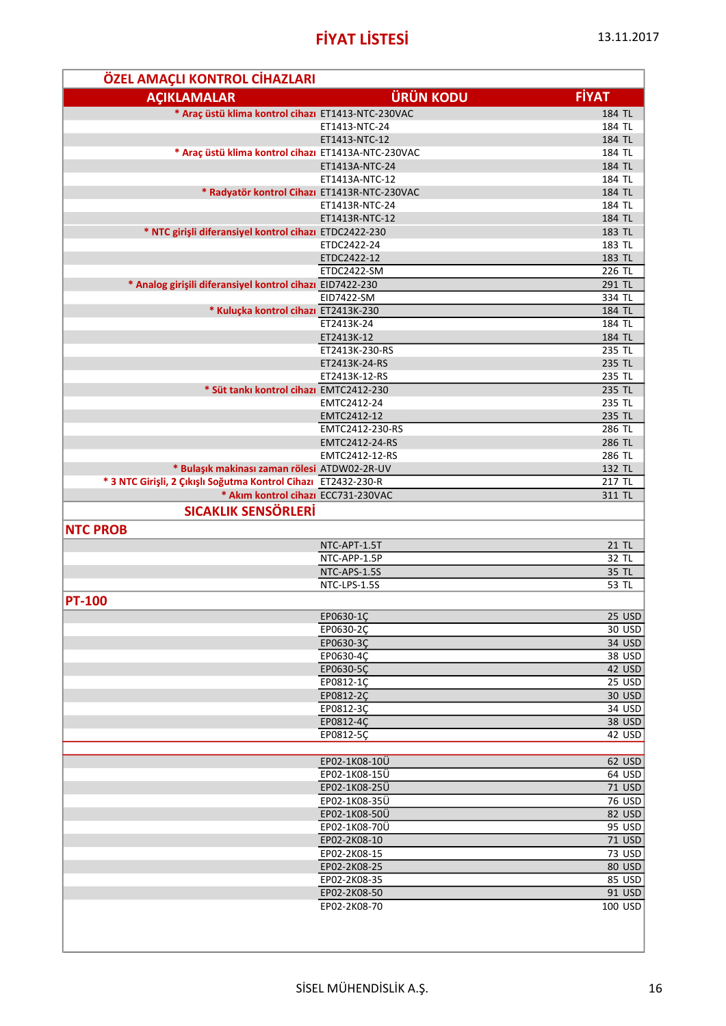| ÖZEL AMAÇLI KONTROL CİHAZLARI                                  |                                |                  |
|----------------------------------------------------------------|--------------------------------|------------------|
| <b>AÇIKLAMALAR</b>                                             | <b>ÜRÜN KODU</b>               | <b>FIYAT</b>     |
| * Araç üstü klima kontrol cihazı ET1413-NTC-230VAC             |                                | 184 TL           |
|                                                                | ET1413-NTC-24                  | 184 TL           |
|                                                                | ET1413-NTC-12                  | 184 TL           |
| * Araç üstü klima kontrol cihazı ET1413A-NTC-230VAC            |                                | 184 TL           |
|                                                                | ET1413A-NTC-24                 | 184 TL           |
|                                                                | ET1413A-NTC-12                 | 184 TL           |
| * Radyatör kontrol Cihazı ET1413R-NTC-230VAC                   | ET1413R-NTC-24                 | 184 TL<br>184 TL |
|                                                                | ET1413R-NTC-12                 | 184 TL           |
| * NTC girişli diferansiyel kontrol cihazı ETDC2422-230         |                                | 183 TL           |
|                                                                | ETDC2422-24                    | 183 TL           |
|                                                                | ETDC2422-12                    | 183 TL           |
|                                                                | ETDC2422-SM                    | 226 TL           |
| * Analog girişili diferansiyel kontrol cihazı EID7422-230      |                                | 291 TL           |
|                                                                | EID7422-SM                     | 334 TL           |
| * Kuluçka kontrol cihazı ET2413K-230                           |                                | 184 TL           |
|                                                                | ET2413K-24                     | 184 TL           |
|                                                                | ET2413K-12                     | 184 TL           |
|                                                                | ET2413K-230-RS                 | 235 TL           |
|                                                                | ET2413K-24-RS<br>ET2413K-12-RS | 235 TL           |
| * Süt tankı kontrol cihazı EMTC2412-230                        |                                | 235 TL<br>235 TL |
|                                                                | EMTC2412-24                    | 235 TL           |
|                                                                | EMTC2412-12                    | 235 TL           |
|                                                                | EMTC2412-230-RS                | 286 TL           |
|                                                                | EMTC2412-24-RS                 | 286 TL           |
|                                                                | EMTC2412-12-RS                 | 286 TL           |
| * Bulaşık makinası zaman rölesi ATDW02-2R-UV                   |                                | 132 TL           |
| * 3 NTC Girişli, 2 Çıkışlı Soğutma Kontrol Cihazı ET2432-230-R |                                | 217 TL           |
| * Akim kontrol cihazi ECC731-230VAC                            |                                | 311 TL           |
| <b>SICAKLIK SENSÖRLERİ</b>                                     |                                |                  |
| <b>NTC PROB</b>                                                |                                |                  |
|                                                                | NTC-APT-1.5T                   | 21 TL            |
|                                                                | NTC-APP-1.5P                   | 32 TL            |
|                                                                | NTC-APS-1.5S                   | 35 TL            |
|                                                                | NTC-LPS-1.5S                   | 53 TL            |
| <b>PT-100</b>                                                  |                                |                  |
|                                                                | EP0630-1Ç                      | $25$ USD         |
|                                                                | EP0630-2Ç                      | 30 USD           |
|                                                                | EP0630-3Ç                      | 34 USD           |
|                                                                | EP0630-4Ç                      | 38 USD           |
|                                                                | EP0630-5Ç<br>EP0812-1C         | 42 USD<br>25 USD |
|                                                                | EP0812-2C                      | 30 USD           |
|                                                                | EP0812-3C                      | 34 USD           |
|                                                                | EP0812-4Ç                      | 38 USD           |
|                                                                | EP0812-5Ç                      | 42 USD           |
|                                                                |                                |                  |
|                                                                | EP02-1K08-10Ü                  | 62 USD           |
|                                                                | EP02-1K08-15Ü                  | 64 USD           |
|                                                                | EP02-1K08-25Ü                  | <b>71 USD</b>    |
|                                                                | EP02-1K08-35Ü                  | <b>76 USD</b>    |
|                                                                | EP02-1K08-50Ü<br>EP02-1K08-70Ü | 82 USD<br>95 USD |
|                                                                | EP02-2K08-10                   | <b>71 USD</b>    |
|                                                                | EP02-2K08-15                   | 73 USD           |
|                                                                | EP02-2K08-25                   | 80 USD           |
|                                                                | EP02-2K08-35                   | 85 USD           |
|                                                                | EP02-2K08-50                   | 91 USD           |
|                                                                | EP02-2K08-70                   | 100 USD          |
|                                                                |                                |                  |